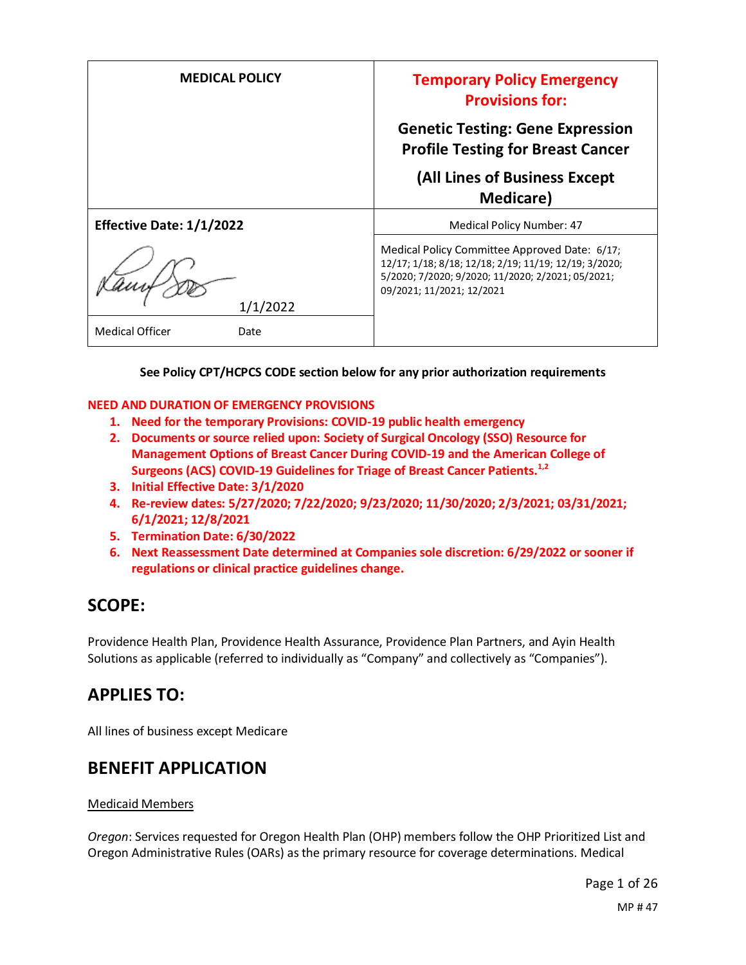| <b>MEDICAL POLICY</b>          | <b>Temporary Policy Emergency</b><br><b>Provisions for:</b>                                                                                                                              |
|--------------------------------|------------------------------------------------------------------------------------------------------------------------------------------------------------------------------------------|
|                                | <b>Genetic Testing: Gene Expression</b><br><b>Profile Testing for Breast Cancer</b>                                                                                                      |
|                                | (All Lines of Business Except<br><b>Medicare</b> )                                                                                                                                       |
| Effective Date: 1/1/2022       | <b>Medical Policy Number: 47</b>                                                                                                                                                         |
| 1/1/2022                       | Medical Policy Committee Approved Date: 6/17;<br>12/17; 1/18; 8/18; 12/18; 2/19; 11/19; 12/19; 3/2020;<br>5/2020; 7/2020; 9/2020; 11/2020; 2/2021; 05/2021;<br>09/2021; 11/2021; 12/2021 |
| <b>Medical Officer</b><br>Date |                                                                                                                                                                                          |

#### **See Policy CPT/HCPCS CODE section below for any prior authorization requirements**

#### **NEED AND DURATION OF EMERGENCY PROVISIONS**

- **1. Need for the temporary Provisions: COVID-19 public health emergency**
- **2. Documents or source relied upon: Society of Surgical Oncology (SSO) Resource for Management Options of Breast Cancer During COVID-19 and the American College of Surgeons (ACS) COVID-19 Guidelines for Triage of Breast Cancer Patients.1,2**
- **3. Initial Effective Date: 3/1/2020**
- **4. Re-review dates: 5/27/2020; 7/22/2020; 9/23/2020; 11/30/2020; 2/3/2021; 03/31/2021; 6/1/2021; 12/8/2021**
- **5. Termination Date: 6/30/2022**
- **6. Next Reassessment Date determined at Companies sole discretion: 6/29/2022 or sooner if regulations or clinical practice guidelines change.**

## **SCOPE:**

Providence Health Plan, Providence Health Assurance, Providence Plan Partners, and Ayin Health Solutions as applicable (referred to individually as "Company" and collectively as "Companies").

## **APPLIES TO:**

All lines of business except Medicare

## **BENEFIT APPLICATION**

#### Medicaid Members

*Oregon*: Services requested for Oregon Health Plan (OHP) members follow the OHP Prioritized List and Oregon Administrative Rules (OARs) as the primary resource for coverage determinations. Medical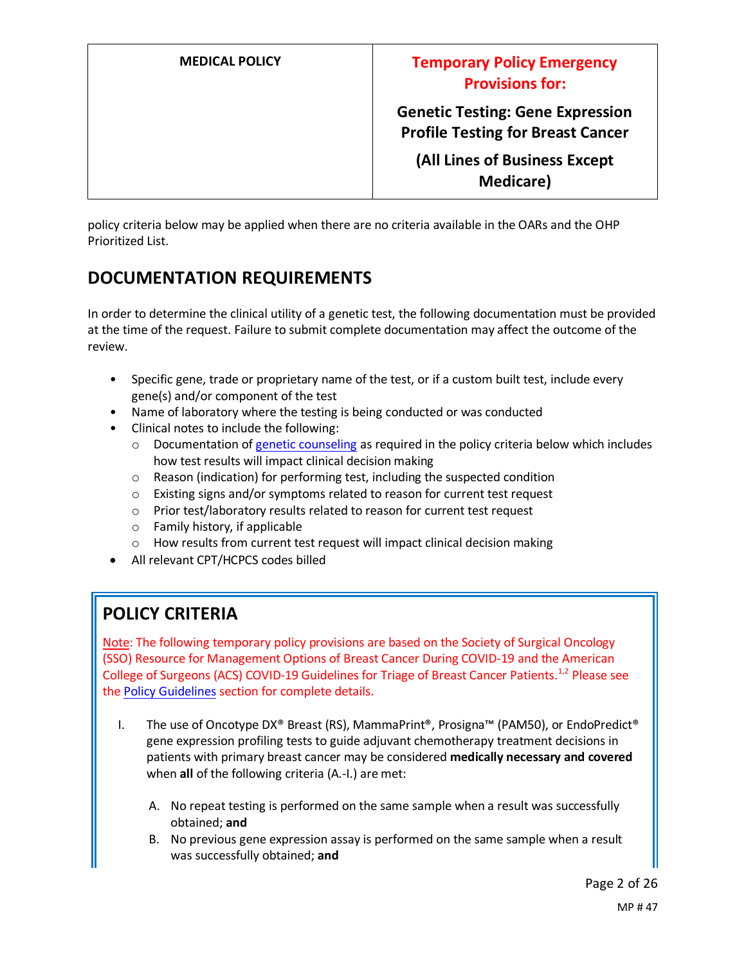**Genetic Testing: Gene Expression Profile Testing for Breast Cancer**

**(All Lines of Business Except Medicare)**

policy criteria below may be applied when there are no criteria available in the OARs and the OHP Prioritized List.

## **DOCUMENTATION REQUIREMENTS**

In order to determine the clinical utility of a genetic test, the following documentation must be provided at the time of the request. Failure to submit complete documentation may affect the outcome of the review.

- Specific gene, trade or proprietary name of the test, or if a custom built test, include every gene(s) and/or component of the test
- Name of laboratory where the testing is being conducted or was conducted
- Clinical notes to include the following:
	- $\circ$  Documentation of genetic counseling as required in the policy criteria below which includes how test results will impact clinical decision making
	- o Reason (indication) for performing test, including the suspected condition
	- o Existing signs and/or symptoms related to reason for current test request
	- o Prior test/laboratory results related to reason for current test request
	- o Family history, if applicable
	- o How results from current test request will impact clinical decision making
- All relevant CPT/HCPCS codes billed

## **POLICY CRITERIA**

Note: The following temporary policy provisions are based on the Society of Surgical Oncology (SSO) Resource for Management Options of Breast Cancer During COVID-19 and the American College of Surgeons (ACS) COVID-19 Guidelines for Triage of Breast Cancer Patients.<sup>1,2</sup> Please see the Policy Guidelines section for complete details.

- I. The use of Oncotype DX® Breast (RS), MammaPrint®, Prosigna™ (PAM50), or EndoPredict® gene expression profiling tests to guide adjuvant chemotherapy treatment decisions in patients with primary breast cancer may be considered **medically necessary and covered** when **all** of the following criteria (A.-I.) are met:
	- A. No repeat testing is performed on the same sample when a result was successfully obtained; **and**
	- B. No previous gene expression assay is performed on the same sample when a result was successfully obtained; **and**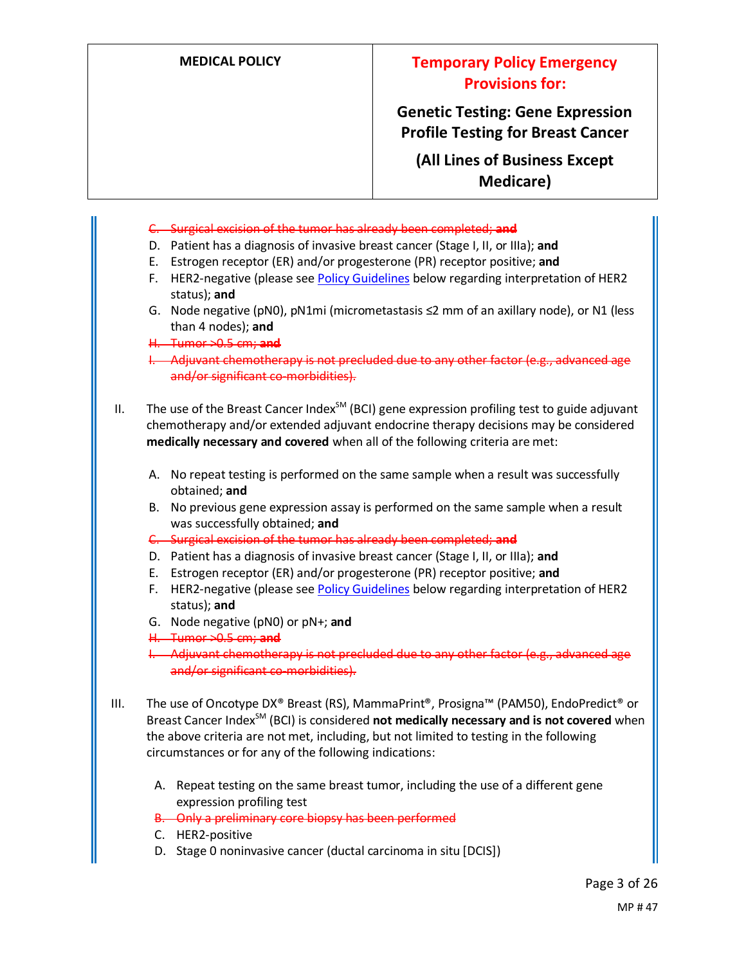**Genetic Testing: Gene Expression Profile Testing for Breast Cancer**

**(All Lines of Business Except Medicare)**

- C. Surgical excision of the tumor has already been completed; **and**
- D. Patient has a diagnosis of invasive breast cancer (Stage I, II, or IIIa); **and**
- E. Estrogen receptor (ER) and/or progesterone (PR) receptor positive; **and**
- F. HER2-negative (please see Policy Guidelines below regarding interpretation of HER2 status); **and**
- G. Node negative (pN0), pN1mi (micrometastasis ≤2 mm of an axillary node), or N1 (less than 4 nodes); **and**
- H. Tumor >0.5 cm; **and**
- I. Adjuvant chemotherapy is not precluded due to any other factor (e.g., advanced age and/or significant co-morbidities).
- II. The use of the Breast Cancer Index<sup>SM</sup> (BCI) gene expression profiling test to guide adjuvant chemotherapy and/or extended adjuvant endocrine therapy decisions may be considered **medically necessary and covered** when all of the following criteria are met:
	- A. No repeat testing is performed on the same sample when a result was successfully obtained; **and**
	- B. No previous gene expression assay is performed on the same sample when a result was successfully obtained; **and**
	- C. Surgical excision of the tumor has already been completed; **and**
	- D. Patient has a diagnosis of invasive breast cancer (Stage I, II, or IIIa); **and**
	- E. Estrogen receptor (ER) and/or progesterone (PR) receptor positive; **and**
	- F. HER2-negative (please see Policy Guidelines below regarding interpretation of HER2 status); **and**
	- G. Node negative (pN0) or pN+; **and**
	- H. Tumor >0.5 cm; **and**
	- I. Adjuvant chemotherapy is not precluded due to any other factor (e.g., advanced age and/or significant co-morbidities).
- III. The use of Oncotype DX® Breast (RS), MammaPrint®, Prosigna™ (PAM50), EndoPredict® or Breast Cancer Index<sup>SM</sup> (BCI) is considered **not medically necessary and is not covered** when the above criteria are not met, including, but not limited to testing in the following circumstances or for any of the following indications:
	- A. Repeat testing on the same breast tumor, including the use of a different gene expression profiling test
	- B. Only a preliminary core biopsy has been performed
	- C. HER2-positive
	- D. Stage 0 noninvasive cancer (ductal carcinoma in situ [DCIS])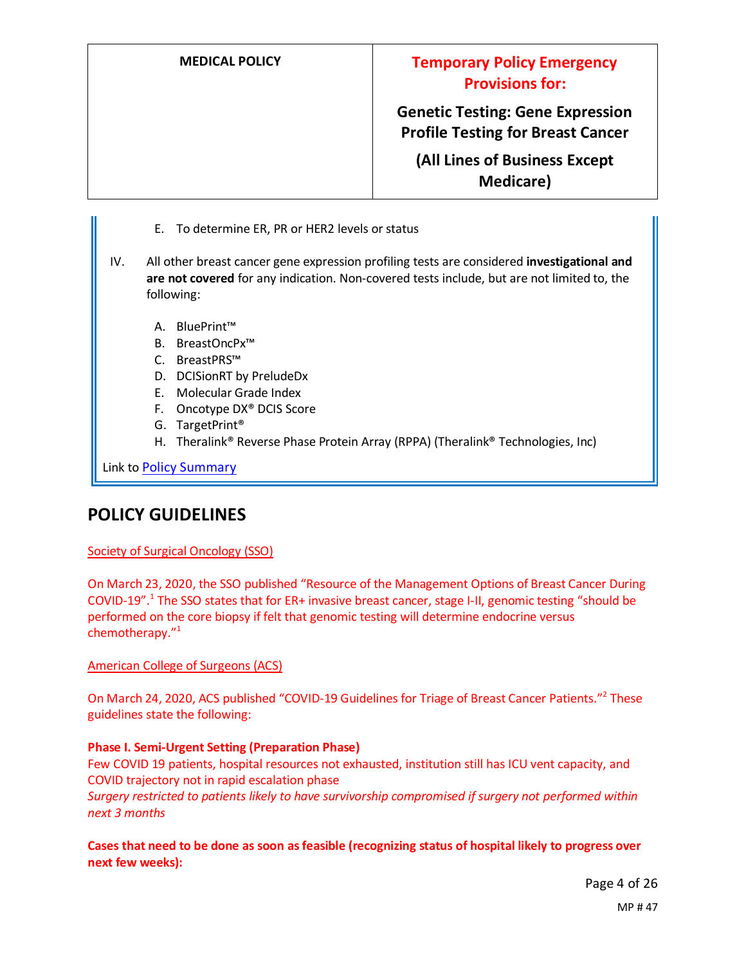**Genetic Testing: Gene Expression Profile Testing for Breast Cancer**

**(All Lines of Business Except Medicare)**

- E. To determine ER, PR or HER2 levels or status
- IV. All other breast cancer gene expression profiling tests are considered **investigational and are not covered** for any indication. Non-covered tests include, but are not limited to, the following:
	- A. BluePrint™
	- B. BreastOncPx™
	- C. BreastPRS™
	- D. DCISionRT by PreludeDx
	- E. Molecular Grade Index
	- F. Oncotype DX® DCIS Score
	- G. TargetPrint®
	- H. Theralink® Reverse Phase Protein Array (RPPA) (Theralink® Technologies, Inc)

Link to Policy Summary

## **POLICY GUIDELINES**

#### Society of Surgical Oncology (SSO)

On March 23, 2020, the SSO published "Resource of the Management Options of Breast Cancer During COVID-19".<sup>1</sup> The SSO states that for ER+ invasive breast cancer, stage I-II, genomic testing "should be performed on the core biopsy if felt that genomic testing will determine endocrine versus chemotherapy."<sup>1</sup>

American College of Surgeons (ACS)

On March 24, 2020, ACS published "COVID-19 Guidelines for Triage of Breast Cancer Patients."<sup>2</sup> These guidelines state the following:

#### **Phase I. Semi-Urgent Setting (Preparation Phase)**

Few COVID 19 patients, hospital resources not exhausted, institution still has ICU vent capacity, and COVID trajectory not in rapid escalation phase *Surgery restricted to patients likely to have survivorship compromised if surgery not performed within next 3 months*

**Cases that need to be done as soon as feasible (recognizing status of hospital likely to progress over next few weeks):**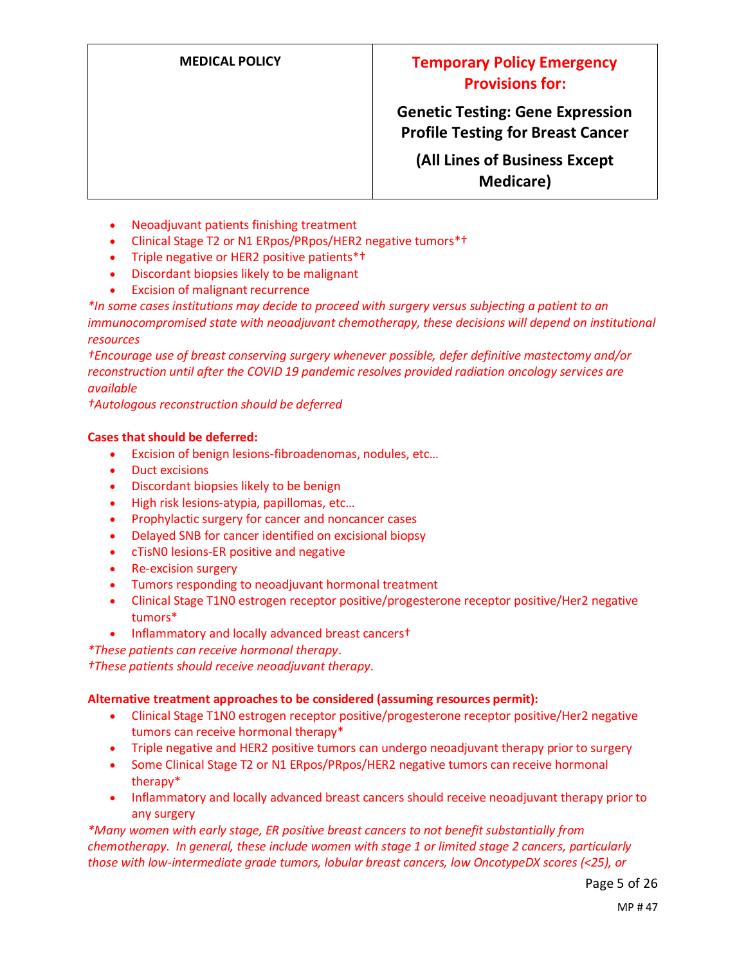**Genetic Testing: Gene Expression Profile Testing for Breast Cancer**

**(All Lines of Business Except Medicare)**

- Neoadjuvant patients finishing treatment
- Clinical Stage T2 or N1 ERpos/PRpos/HER2 negative tumors\*†
- Triple negative or HER2 positive patients\*†
- Discordant biopsies likely to be malignant
- Excision of malignant recurrence

*\*In some cases institutions may decide to proceed with surgery versus subjecting a patient to an immunocompromised state with neoadjuvant chemotherapy, these decisions will depend on institutional resources*

*†Encourage use of breast conserving surgery whenever possible, defer definitive mastectomy and/or reconstruction until after the COVID 19 pandemic resolves provided radiation oncology services are available*

*†Autologous reconstruction should be deferred*

#### **Cases that should be deferred:**

- Excision of benign lesions-fibroadenomas, nodules, etc…
- Duct excisions
- Discordant biopsies likely to be benign
- High risk lesions-atypia, papillomas, etc…
- Prophylactic surgery for cancer and noncancer cases
- Delayed SNB for cancer identified on excisional biopsy
- cTisN0 lesions-ER positive and negative
- Re-excision surgery
- Tumors responding to neoadjuvant hormonal treatment
- Clinical Stage T1N0 estrogen receptor positive/progesterone receptor positive/Her2 negative tumors\*
- Inflammatory and locally advanced breast cancers†

*\*These patients can receive hormonal therapy*.

*†These patients should receive neoadjuvant therapy*.

#### **Alternative treatment approaches to be considered (assuming resources permit):**

- Clinical Stage T1N0 estrogen receptor positive/progesterone receptor positive/Her2 negative tumors can receive hormonal therapy\*
- Triple negative and HER2 positive tumors can undergo neoadjuvant therapy prior to surgery
- Some Clinical Stage T2 or N1 ERpos/PRpos/HER2 negative tumors can receive hormonal therapy\*
- Inflammatory and locally advanced breast cancers should receive neoadjuvant therapy prior to any surgery

*\*Many women with early stage, ER positive breast cancers to not benefit substantially from chemotherapy. In general, these include women with stage 1 or limited stage 2 cancers, particularly those with low-intermediate grade tumors, lobular breast cancers, low OncotypeDX scores (<25), or*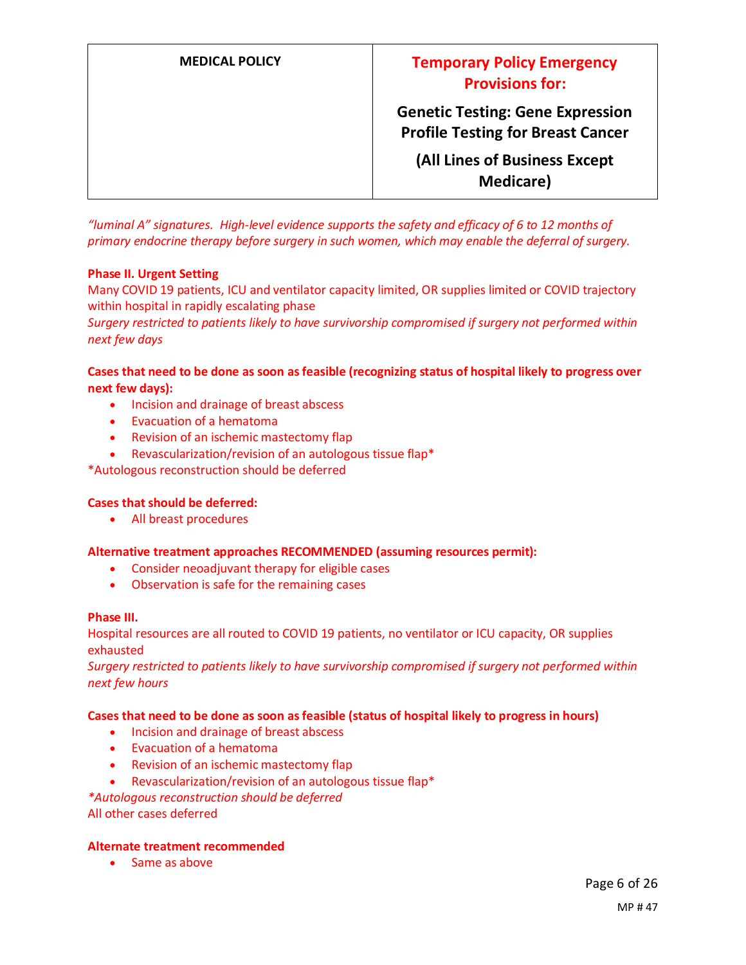| <b>MEDICAL POLICY</b> | <b>Temporary Policy Emergency</b><br><b>Provisions for:</b>                         |
|-----------------------|-------------------------------------------------------------------------------------|
|                       | <b>Genetic Testing: Gene Expression</b><br><b>Profile Testing for Breast Cancer</b> |
|                       | (All Lines of Business Except<br><b>Medicare</b> )                                  |

*"luminal A" signatures. High-level evidence supports the safety and efficacy of 6 to 12 months of primary endocrine therapy before surgery in such women, which may enable the deferral of surgery.*

#### **Phase II. Urgent Setting**

Many COVID 19 patients, ICU and ventilator capacity limited, OR supplies limited or COVID trajectory within hospital in rapidly escalating phase

*Surgery restricted to patients likely to have survivorship compromised if surgery not performed within next few days*

### **Cases that need to be done as soon as feasible (recognizing status of hospital likely to progress over next few days):**

- Incision and drainage of breast abscess
- Evacuation of a hematoma
- Revision of an ischemic mastectomy flap
- Revascularization/revision of an autologous tissue flap\*

\*Autologous reconstruction should be deferred

### **Cases that should be deferred:**

• All breast procedures

#### **Alternative treatment approaches RECOMMENDED (assuming resources permit):**

- Consider neoadjuvant therapy for eligible cases
- Observation is safe for the remaining cases

#### **Phase III.**

Hospital resources are all routed to COVID 19 patients, no ventilator or ICU capacity, OR supplies exhausted

*Surgery restricted to patients likely to have survivorship compromised if surgery not performed within next few hours*

#### **Cases that need to be done as soon as feasible (status of hospital likely to progress in hours)**

- Incision and drainage of breast abscess
- Evacuation of a hematoma
- Revision of an ischemic mastectomy flap
- Revascularization/revision of an autologous tissue flap\*

*\*Autologous reconstruction should be deferred*

All other cases deferred

#### **Alternate treatment recommended**

• Same as above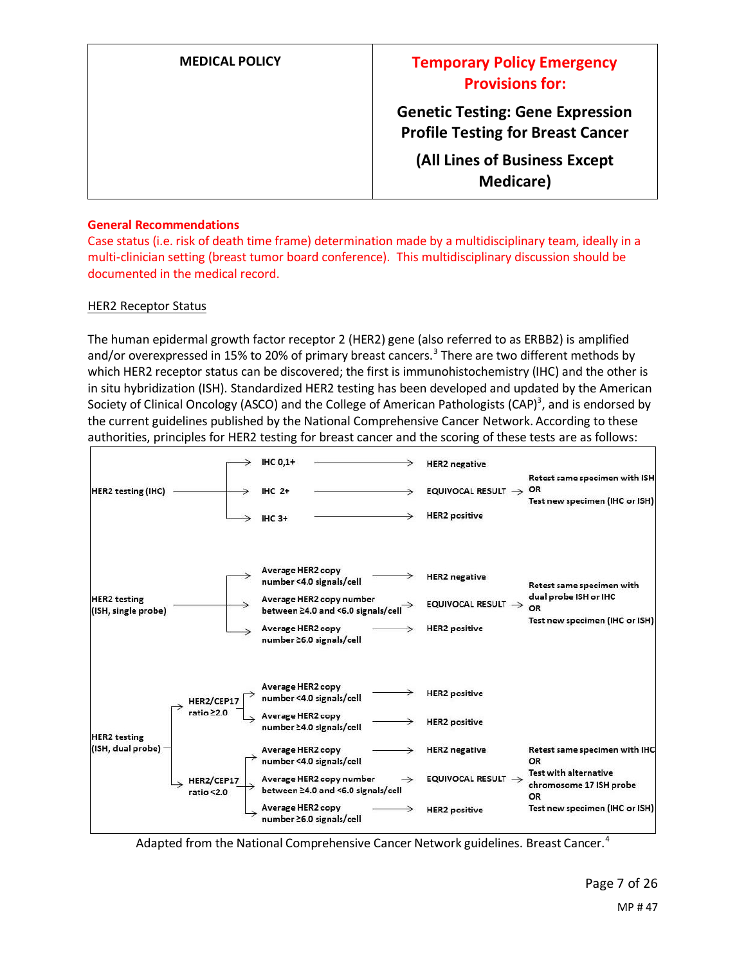| <b>MEDICAL POLICY</b> | <b>Temporary Policy Emergency</b><br><b>Provisions for:</b>                         |
|-----------------------|-------------------------------------------------------------------------------------|
|                       | <b>Genetic Testing: Gene Expression</b><br><b>Profile Testing for Breast Cancer</b> |
|                       | (All Lines of Business Except<br><b>Medicare</b> )                                  |

#### **General Recommendations**

Case status (i.e. risk of death time frame) determination made by a multidisciplinary team, ideally in a multi-clinician setting (breast tumor board conference). This multidisciplinary discussion should be documented in the medical record.

### HER2 Receptor Status

The human epidermal growth factor receptor 2 (HER2) gene (also referred to as ERBB2) is amplified and/or overexpressed in 15% to 20% of primary breast cancers.<sup>3</sup> There are two different methods by which HER2 receptor status can be discovered; the first is immunohistochemistry (IHC) and the other is in situ hybridization (ISH). Standardized HER2 testing has been developed and updated by the American Society of Clinical Oncology (ASCO) and the College of American Pathologists (CAP)<sup>3</sup>, and is endorsed by the current guidelines published by the National Comprehensive Cancer Network. According to these authorities, principles for HER2 testing for breast cancer and the scoring of these tests are as follows:



Adapted from the National Comprehensive Cancer Network guidelines. Breast Cancer.<sup>4</sup>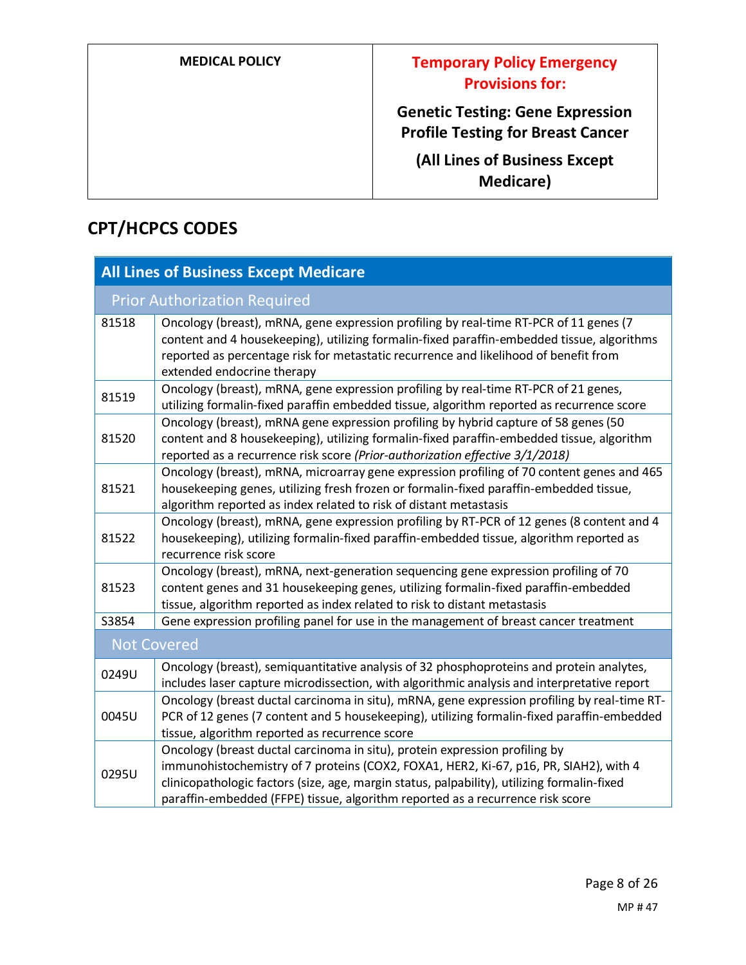**Genetic Testing: Gene Expression Profile Testing for Breast Cancer**

**(All Lines of Business Except Medicare)**

## **CPT/HCPCS CODES**

| <b>All Lines of Business Except Medicare</b> |                                                                                                                                                                                                                                                                                                                                                       |
|----------------------------------------------|-------------------------------------------------------------------------------------------------------------------------------------------------------------------------------------------------------------------------------------------------------------------------------------------------------------------------------------------------------|
| <b>Prior Authorization Required</b>          |                                                                                                                                                                                                                                                                                                                                                       |
| 81518                                        | Oncology (breast), mRNA, gene expression profiling by real-time RT-PCR of 11 genes (7<br>content and 4 housekeeping), utilizing formalin-fixed paraffin-embedded tissue, algorithms<br>reported as percentage risk for metastatic recurrence and likelihood of benefit from<br>extended endocrine therapy                                             |
| 81519                                        | Oncology (breast), mRNA, gene expression profiling by real-time RT-PCR of 21 genes,<br>utilizing formalin-fixed paraffin embedded tissue, algorithm reported as recurrence score                                                                                                                                                                      |
| 81520                                        | Oncology (breast), mRNA gene expression profiling by hybrid capture of 58 genes (50<br>content and 8 housekeeping), utilizing formalin-fixed paraffin-embedded tissue, algorithm<br>reported as a recurrence risk score (Prior-authorization effective 3/1/2018)                                                                                      |
| 81521                                        | Oncology (breast), mRNA, microarray gene expression profiling of 70 content genes and 465<br>housekeeping genes, utilizing fresh frozen or formalin-fixed paraffin-embedded tissue,<br>algorithm reported as index related to risk of distant metastasis                                                                                              |
| 81522                                        | Oncology (breast), mRNA, gene expression profiling by RT-PCR of 12 genes (8 content and 4<br>housekeeping), utilizing formalin-fixed paraffin-embedded tissue, algorithm reported as<br>recurrence risk score                                                                                                                                         |
| 81523                                        | Oncology (breast), mRNA, next-generation sequencing gene expression profiling of 70<br>content genes and 31 housekeeping genes, utilizing formalin-fixed paraffin-embedded<br>tissue, algorithm reported as index related to risk to distant metastasis                                                                                               |
| S3854                                        | Gene expression profiling panel for use in the management of breast cancer treatment                                                                                                                                                                                                                                                                  |
| <b>Not Covered</b>                           |                                                                                                                                                                                                                                                                                                                                                       |
| 0249U                                        | Oncology (breast), semiquantitative analysis of 32 phosphoproteins and protein analytes,<br>includes laser capture microdissection, with algorithmic analysis and interpretative report                                                                                                                                                               |
| 0045U                                        | Oncology (breast ductal carcinoma in situ), mRNA, gene expression profiling by real-time RT-<br>PCR of 12 genes (7 content and 5 housekeeping), utilizing formalin-fixed paraffin-embedded<br>tissue, algorithm reported as recurrence score                                                                                                          |
| 0295U                                        | Oncology (breast ductal carcinoma in situ), protein expression profiling by<br>immunohistochemistry of 7 proteins (COX2, FOXA1, HER2, Ki-67, p16, PR, SIAH2), with 4<br>clinicopathologic factors (size, age, margin status, palpability), utilizing formalin-fixed<br>paraffin-embedded (FFPE) tissue, algorithm reported as a recurrence risk score |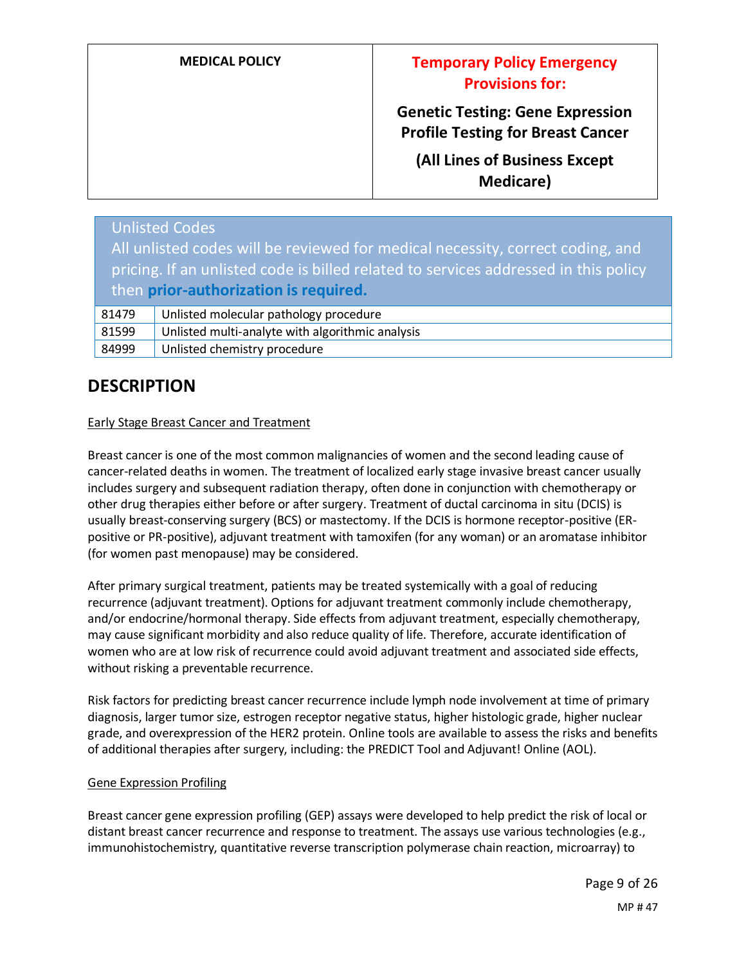| <b>MEDICAL POLICY</b> |
|-----------------------|
|-----------------------|

## **Medical Policy Emergency Temporary Policy Emergency Provisions for:**

**Genetic Testing: Gene Expression Profile Testing for Breast Cancer**

**(All Lines of Business Except Medicare)**

|                                                                                                                              | <b>Unlisted Codes</b>                            |
|------------------------------------------------------------------------------------------------------------------------------|--------------------------------------------------|
| All unlisted codes will be reviewed for medical necessity, correct coding, and                                               |                                                  |
| pricing. If an unlisted code is billed related to services addressed in this policy<br>then prior-authorization is required. |                                                  |
| 81479                                                                                                                        | Unlisted molecular pathology procedure           |
| 81599                                                                                                                        | Unlisted multi-analyte with algorithmic analysis |
| 84999                                                                                                                        | Unlisted chemistry procedure                     |

## **DESCRIPTION**

### Early Stage Breast Cancer and Treatment

Breast cancer is one of the most common malignancies of women and the second leading cause of cancer-related deaths in women. The treatment of localized early stage invasive breast cancer usually includes surgery and subsequent radiation therapy, often done in conjunction with chemotherapy or other drug therapies either before or after surgery. Treatment of ductal carcinoma in situ (DCIS) is usually breast-conserving surgery (BCS) or mastectomy. If the DCIS is hormone receptor-positive (ERpositive or PR-positive), adjuvant treatment with tamoxifen (for any woman) or an aromatase inhibitor (for women past menopause) may be considered.

After primary surgical treatment, patients may be treated systemically with a goal of reducing recurrence (adjuvant treatment). Options for adjuvant treatment commonly include chemotherapy, and/or endocrine/hormonal therapy. Side effects from adjuvant treatment, especially chemotherapy, may cause significant morbidity and also reduce quality of life. Therefore, accurate identification of women who are at low risk of recurrence could avoid adjuvant treatment and associated side effects, without risking a preventable recurrence.

Risk factors for predicting breast cancer recurrence include lymph node involvement at time of primary diagnosis, larger tumor size, estrogen receptor negative status, higher histologic grade, higher nuclear grade, and overexpression of the HER2 protein. Online tools are available to assess the risks and benefits of additional therapies after surgery, including: the PREDICT Tool and Adjuvant! Online (AOL).

#### Gene Expression Profiling

Breast cancer gene expression profiling (GEP) assays were developed to help predict the risk of local or distant breast cancer recurrence and response to treatment. The assays use various technologies (e.g., immunohistochemistry, quantitative reverse transcription polymerase chain reaction, microarray) to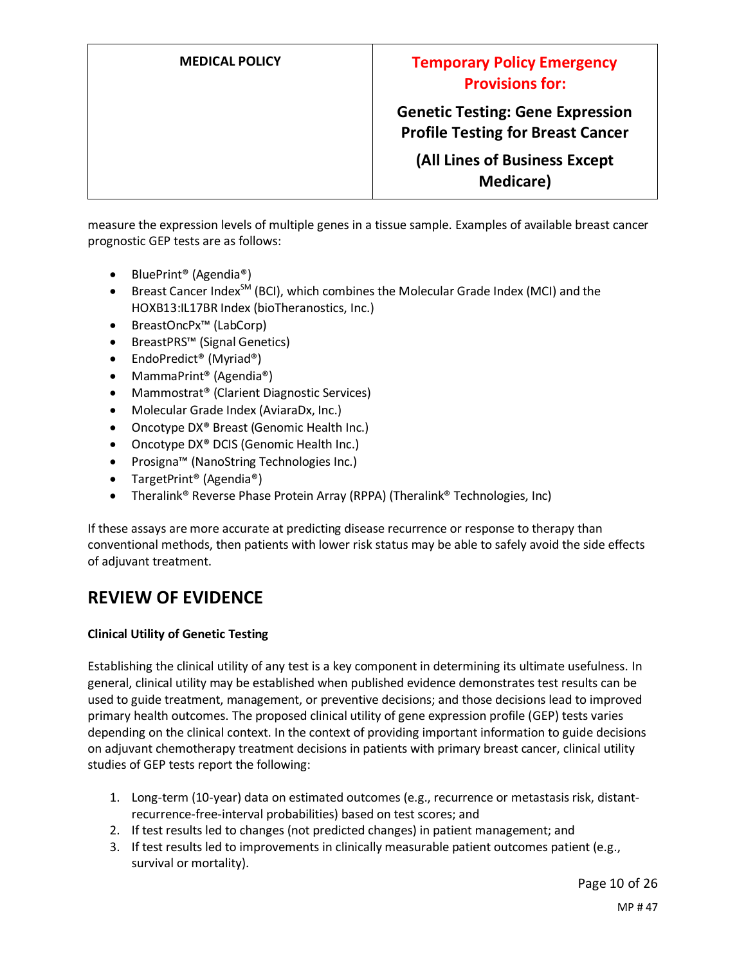**Genetic Testing: Gene Expression Profile Testing for Breast Cancer**

**(All Lines of Business Except Medicare)**

measure the expression levels of multiple genes in a tissue sample. Examples of available breast cancer prognostic GEP tests are as follows:

- BluePrint® (Agendia®)
- Breast Cancer Index<sup>SM</sup> (BCI), which combines the Molecular Grade Index (MCI) and the HOXB13:IL17BR Index (bioTheranostics, Inc.)
- BreastOncPx™ (LabCorp)
- BreastPRS™ (Signal Genetics)
- EndoPredict® (Myriad®)
- MammaPrint<sup>®</sup> (Agendia®)
- Mammostrat<sup>®</sup> (Clarient Diagnostic Services)
- Molecular Grade Index (AviaraDx, Inc.)
- Oncotype DX<sup>®</sup> Breast (Genomic Health Inc.)
- Oncotype DX<sup>®</sup> DCIS (Genomic Health Inc.)
- Prosigna™ (NanoString Technologies Inc.)
- TargetPrint® (Agendia®)
- Theralink® Reverse Phase Protein Array (RPPA) (Theralink® Technologies, Inc)

If these assays are more accurate at predicting disease recurrence or response to therapy than conventional methods, then patients with lower risk status may be able to safely avoid the side effects of adjuvant treatment.

## **REVIEW OF EVIDENCE**

#### **Clinical Utility of Genetic Testing**

Establishing the clinical utility of any test is a key component in determining its ultimate usefulness. In general, clinical utility may be established when published evidence demonstrates test results can be used to guide treatment, management, or preventive decisions; and those decisions lead to improved primary health outcomes. The proposed clinical utility of gene expression profile (GEP) tests varies depending on the clinical context. In the context of providing important information to guide decisions on adjuvant chemotherapy treatment decisions in patients with primary breast cancer, clinical utility studies of GEP tests report the following:

- 1. Long-term (10-year) data on estimated outcomes (e.g., recurrence or metastasis risk, distantrecurrence-free-interval probabilities) based on test scores; and
- 2. If test results led to changes (not predicted changes) in patient management; and
- 3. If test results led to improvements in clinically measurable patient outcomes patient (e.g., survival or mortality).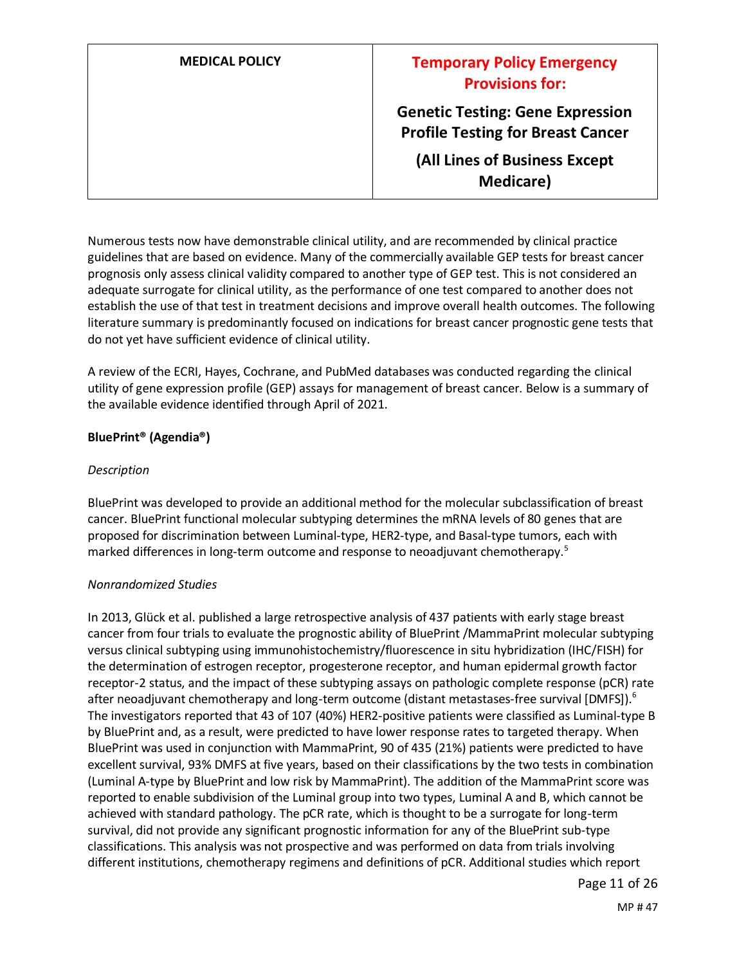| <b>MEDICAL POLICY</b> | <b>Temporary Policy Emergency</b><br><b>Provisions for:</b>                         |
|-----------------------|-------------------------------------------------------------------------------------|
|                       | <b>Genetic Testing: Gene Expression</b><br><b>Profile Testing for Breast Cancer</b> |
|                       | (All Lines of Business Except<br>Medicare)                                          |

Numerous tests now have demonstrable clinical utility, and are recommended by clinical practice guidelines that are based on evidence. Many of the commercially available GEP tests for breast cancer prognosis only assess clinical validity compared to another type of GEP test. This is not considered an adequate surrogate for clinical utility, as the performance of one test compared to another does not establish the use of that test in treatment decisions and improve overall health outcomes. The following literature summary is predominantly focused on indications for breast cancer prognostic gene tests that do not yet have sufficient evidence of clinical utility.

A review of the ECRI, Hayes, Cochrane, and PubMed databases was conducted regarding the clinical utility of gene expression profile (GEP) assays for management of breast cancer. Below is a summary of the available evidence identified through April of 2021.

### **BluePrint® (Agendia®)**

#### *Description*

BluePrint was developed to provide an additional method for the molecular subclassification of breast cancer. BluePrint functional molecular subtyping determines the mRNA levels of 80 genes that are proposed for discrimination between Luminal-type, HER2-type, and Basal-type tumors, each with marked differences in long-term outcome and response to neoadjuvant chemotherapy.<sup>5</sup>

#### *Nonrandomized Studies*

In 2013, Glück et al. published a large retrospective analysis of 437 patients with early stage breast cancer from four trials to evaluate the prognostic ability of BluePrint /MammaPrint molecular subtyping versus clinical subtyping using immunohistochemistry/fluorescence in situ hybridization (IHC/FISH) for the determination of estrogen receptor, progesterone receptor, and human epidermal growth factor receptor-2 status, and the impact of these subtyping assays on pathologic complete response (pCR) rate after neoadjuvant chemotherapy and long-term outcome (distant metastases-free survival [DMFS]).<sup>6</sup> The investigators reported that 43 of 107 (40%) HER2-positive patients were classified as Luminal-type B by BluePrint and, as a result, were predicted to have lower response rates to targeted therapy. When BluePrint was used in conjunction with MammaPrint, 90 of 435 (21%) patients were predicted to have excellent survival, 93% DMFS at five years, based on their classifications by the two tests in combination (Luminal A-type by BluePrint and low risk by MammaPrint). The addition of the MammaPrint score was reported to enable subdivision of the Luminal group into two types, Luminal A and B, which cannot be achieved with standard pathology. The pCR rate, which is thought to be a surrogate for long-term survival, did not provide any significant prognostic information for any of the BluePrint sub-type classifications. This analysis was not prospective and was performed on data from trials involving different institutions, chemotherapy regimens and definitions of pCR. Additional studies which report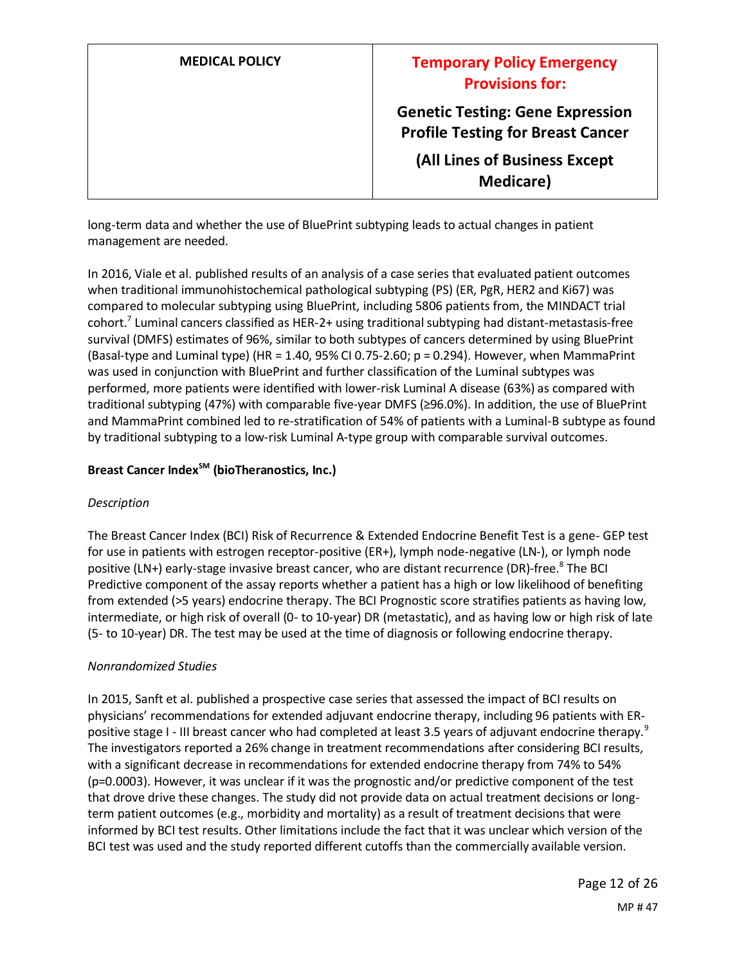| <b>MEDICAL POLICY</b> | <b>Temporary Policy Emergency</b><br><b>Provisions for:</b>                         |
|-----------------------|-------------------------------------------------------------------------------------|
|                       | <b>Genetic Testing: Gene Expression</b><br><b>Profile Testing for Breast Cancer</b> |
|                       | (All Lines of Business Except<br><b>Medicare</b> )                                  |

long-term data and whether the use of BluePrint subtyping leads to actual changes in patient management are needed.

In 2016, Viale et al. published results of an analysis of a case series that evaluated patient outcomes when traditional immunohistochemical pathological subtyping (PS) (ER, PgR, HER2 and Ki67) was compared to molecular subtyping using BluePrint, including 5806 patients from, the MINDACT trial cohort.<sup>7</sup> Luminal cancers classified as HER-2+ using traditional subtyping had distant-metastasis-free survival (DMFS) estimates of 96%, similar to both subtypes of cancers determined by using BluePrint (Basal-type and Luminal type) (HR = 1.40, 95% CI 0.75-2.60; p = 0.294). However, when MammaPrint was used in conjunction with BluePrint and further classification of the Luminal subtypes was performed, more patients were identified with lower-risk Luminal A disease (63%) as compared with traditional subtyping (47%) with comparable five-year DMFS (≥96.0%). In addition, the use of BluePrint and MammaPrint combined led to re-stratification of 54% of patients with a Luminal-B subtype as found by traditional subtyping to a low-risk Luminal A-type group with comparable survival outcomes.

### **Breast Cancer IndexSM (bioTheranostics, Inc.)**

### *Description*

The Breast Cancer Index (BCI) Risk of Recurrence & Extended Endocrine Benefit Test is a gene- GEP test for use in patients with estrogen receptor-positive (ER+), lymph node-negative (LN-), or lymph node positive (LN+) early-stage invasive breast cancer, who are distant recurrence (DR)-free.<sup>8</sup> The BCI Predictive component of the assay reports whether a patient has a high or low likelihood of benefiting from extended (>5 years) endocrine therapy. The BCI Prognostic score stratifies patients as having low, intermediate, or high risk of overall (0- to 10-year) DR (metastatic), and as having low or high risk of late (5- to 10-year) DR. The test may be used at the time of diagnosis or following endocrine therapy.

### *Nonrandomized Studies*

In 2015, Sanft et al. published a prospective case series that assessed the impact of BCI results on physicians' recommendations for extended adjuvant endocrine therapy, including 96 patients with ERpositive stage I - III breast cancer who had completed at least 3.5 years of adjuvant endocrine therapy.<sup>9</sup> The investigators reported a 26% change in treatment recommendations after considering BCI results, with a significant decrease in recommendations for extended endocrine therapy from 74% to 54% (p=0.0003). However, it was unclear if it was the prognostic and/or predictive component of the test that drove drive these changes. The study did not provide data on actual treatment decisions or longterm patient outcomes (e.g., morbidity and mortality) as a result of treatment decisions that were informed by BCI test results. Other limitations include the fact that it was unclear which version of the BCI test was used and the study reported different cutoffs than the commercially available version.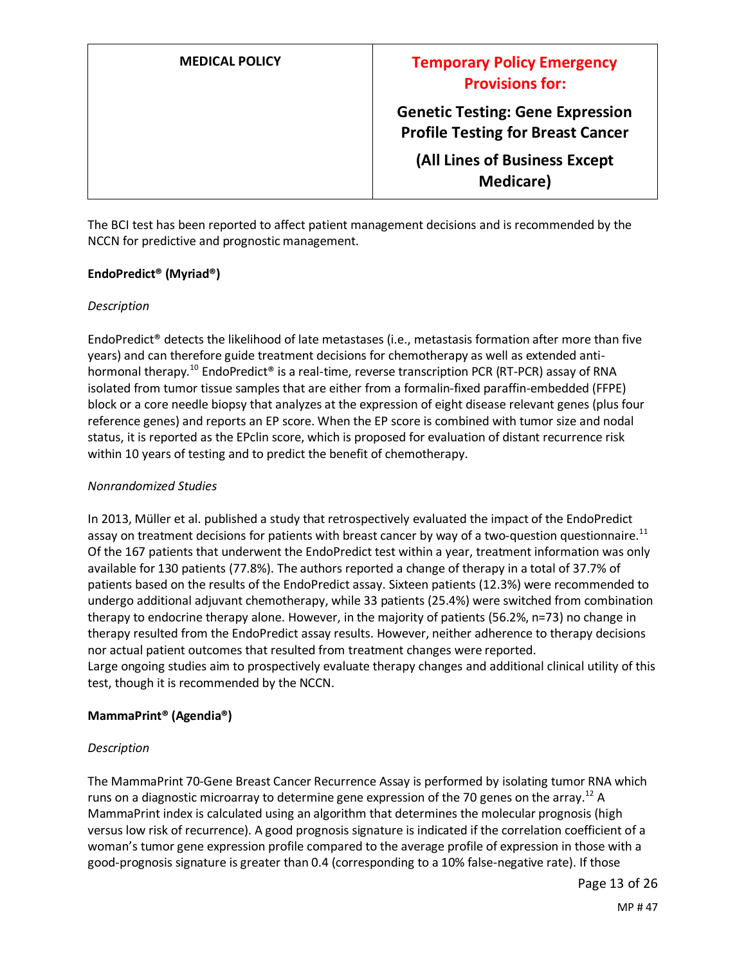**Genetic Testing: Gene Expression Profile Testing for Breast Cancer**

**(All Lines of Business Except Medicare)**

The BCI test has been reported to affect patient management decisions and is recommended by the NCCN for predictive and prognostic management.

#### **EndoPredict® (Myriad®)**

#### *Description*

EndoPredict® detects the likelihood of late metastases (i.e., metastasis formation after more than five years) and can therefore guide treatment decisions for chemotherapy as well as extended antihormonal therapy.<sup>10</sup> EndoPredict<sup>®</sup> is a real-time, reverse transcription PCR (RT-PCR) assay of RNA isolated from tumor tissue samples that are either from a formalin-fixed paraffin-embedded (FFPE) block or a core needle biopsy that analyzes at the expression of eight disease relevant genes (plus four reference genes) and reports an EP score. When the EP score is combined with tumor size and nodal status, it is reported as the EPclin score, which is proposed for evaluation of distant recurrence risk within 10 years of testing and to predict the benefit of chemotherapy.

#### *Nonrandomized Studies*

In 2013, Müller et al. published a study that retrospectively evaluated the impact of the EndoPredict assay on treatment decisions for patients with breast cancer by way of a two-question questionnaire.<sup>11</sup> Of the 167 patients that underwent the EndoPredict test within a year, treatment information was only available for 130 patients (77.8%). The authors reported a change of therapy in a total of 37.7% of patients based on the results of the EndoPredict assay. Sixteen patients (12.3%) were recommended to undergo additional adjuvant chemotherapy, while 33 patients (25.4%) were switched from combination therapy to endocrine therapy alone. However, in the majority of patients (56.2%, n=73) no change in therapy resulted from the EndoPredict assay results. However, neither adherence to therapy decisions nor actual patient outcomes that resulted from treatment changes were reported. Large ongoing studies aim to prospectively evaluate therapy changes and additional clinical utility of this test, though it is recommended by the NCCN.

#### **MammaPrint® (Agendia®)**

#### *Description*

The MammaPrint 70-Gene Breast Cancer Recurrence Assay is performed by isolating tumor RNA which runs on a diagnostic microarray to determine gene expression of the 70 genes on the array.<sup>12</sup> A MammaPrint index is calculated using an algorithm that determines the molecular prognosis (high versus low risk of recurrence). A good prognosis signature is indicated if the correlation coefficient of a woman's tumor gene expression profile compared to the average profile of expression in those with a good-prognosis signature is greater than 0.4 (corresponding to a 10% false-negative rate). If those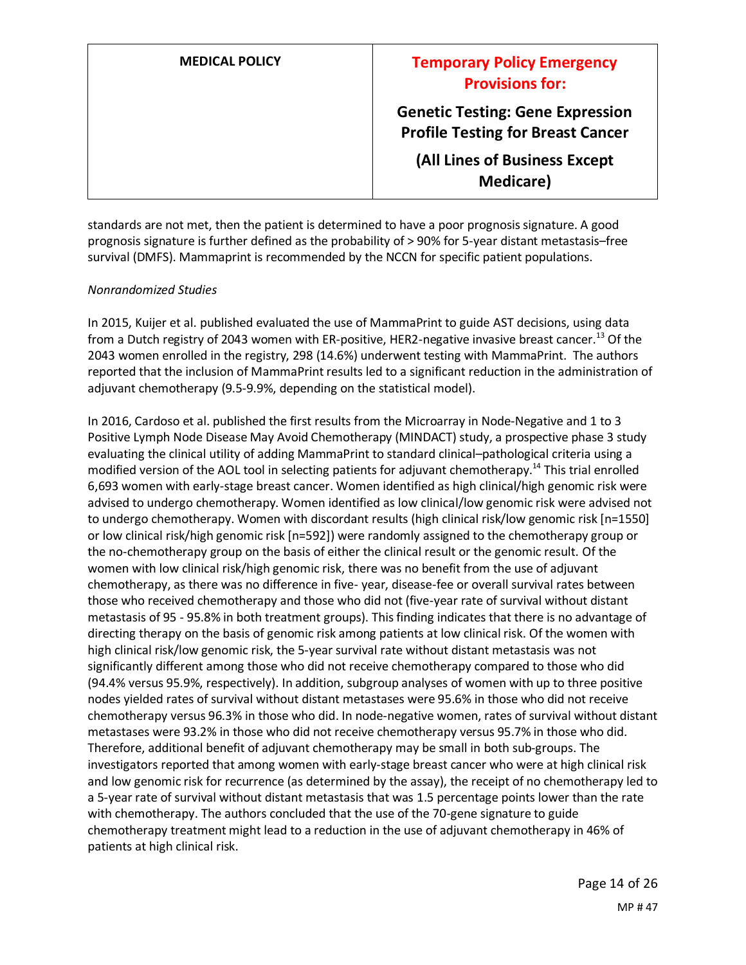| <b>MEDICAL POLICY</b> | <b>Temporary Policy Emergency</b><br><b>Provisions for:</b>                         |
|-----------------------|-------------------------------------------------------------------------------------|
|                       | <b>Genetic Testing: Gene Expression</b><br><b>Profile Testing for Breast Cancer</b> |
|                       | (All Lines of Business Except<br><b>Medicare</b> )                                  |

standards are not met, then the patient is determined to have a poor prognosis signature. A good prognosis signature is further defined as the probability of > 90% for 5-year distant metastasis–free survival (DMFS). Mammaprint is recommended by the NCCN for specific patient populations.

#### *Nonrandomized Studies*

In 2015, Kuijer et al. published evaluated the use of MammaPrint to guide AST decisions, using data from a Dutch registry of 2043 women with ER-positive, HER2-negative invasive breast cancer.<sup>13</sup> Of the 2043 women enrolled in the registry, 298 (14.6%) underwent testing with MammaPrint. The authors reported that the inclusion of MammaPrint results led to a significant reduction in the administration of adjuvant chemotherapy (9.5-9.9%, depending on the statistical model).

In 2016, Cardoso et al. published the first results from the Microarray in Node-Negative and 1 to 3 Positive Lymph Node Disease May Avoid Chemotherapy (MINDACT) study, a prospective phase 3 study evaluating the clinical utility of adding MammaPrint to standard clinical–pathological criteria using a modified version of the AOL tool in selecting patients for adjuvant chemotherapy.<sup>14</sup> This trial enrolled 6,693 women with early-stage breast cancer. Women identified as high clinical/high genomic risk were advised to undergo chemotherapy. Women identified as low clinical/low genomic risk were advised not to undergo chemotherapy. Women with discordant results (high clinical risk/low genomic risk [n=1550] or low clinical risk/high genomic risk [n=592]) were randomly assigned to the chemotherapy group or the no-chemotherapy group on the basis of either the clinical result or the genomic result. Of the women with low clinical risk/high genomic risk, there was no benefit from the use of adjuvant chemotherapy, as there was no difference in five- year, disease-fee or overall survival rates between those who received chemotherapy and those who did not (five-year rate of survival without distant metastasis of 95 - 95.8% in both treatment groups). This finding indicates that there is no advantage of directing therapy on the basis of genomic risk among patients at low clinical risk. Of the women with high clinical risk/low genomic risk, the 5-year survival rate without distant metastasis was not significantly different among those who did not receive chemotherapy compared to those who did (94.4% versus 95.9%, respectively). In addition, subgroup analyses of women with up to three positive nodes yielded rates of survival without distant metastases were 95.6% in those who did not receive chemotherapy versus 96.3% in those who did. In node-negative women, rates of survival without distant metastases were 93.2% in those who did not receive chemotherapy versus 95.7% in those who did. Therefore, additional benefit of adjuvant chemotherapy may be small in both sub-groups. The investigators reported that among women with early-stage breast cancer who were at high clinical risk and low genomic risk for recurrence (as determined by the assay), the receipt of no chemotherapy led to a 5-year rate of survival without distant metastasis that was 1.5 percentage points lower than the rate with chemotherapy. The authors concluded that the use of the 70-gene signature to guide chemotherapy treatment might lead to a reduction in the use of adjuvant chemotherapy in 46% of patients at high clinical risk.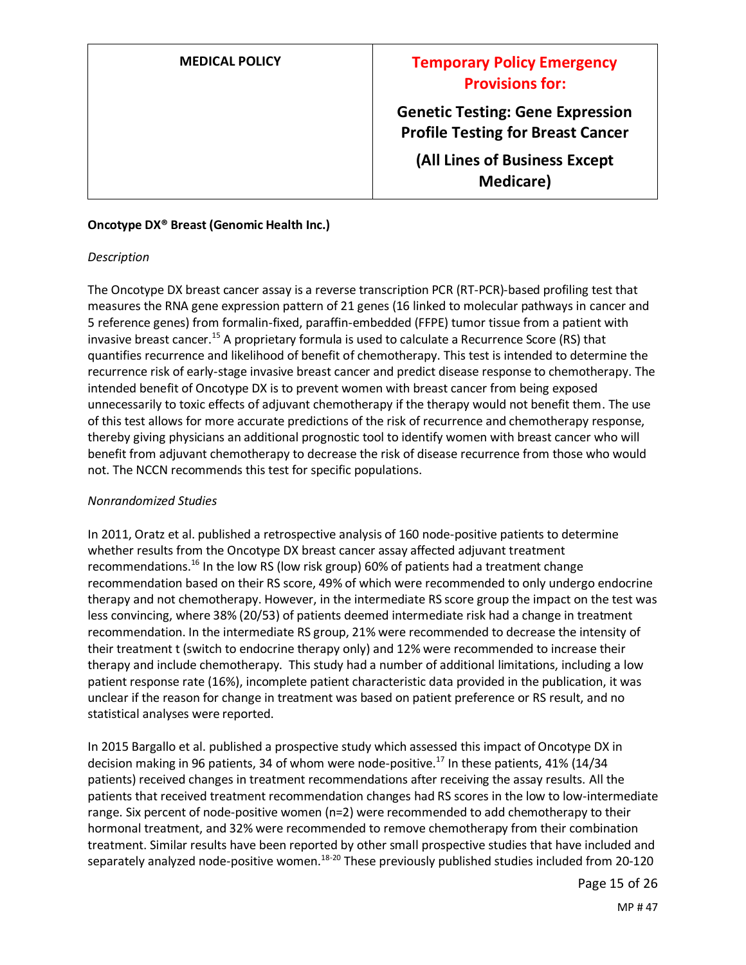**Genetic Testing: Gene Expression Profile Testing for Breast Cancer**

**(All Lines of Business Except Medicare)**

#### **Oncotype DX® Breast (Genomic Health Inc.)**

#### *Description*

The Oncotype DX breast cancer assay is a reverse transcription PCR (RT-PCR)-based profiling test that measures the RNA gene expression pattern of 21 genes (16 linked to molecular pathways in cancer and 5 reference genes) from formalin-fixed, paraffin-embedded (FFPE) tumor tissue from a patient with invasive breast cancer.<sup>15</sup> A proprietary formula is used to calculate a Recurrence Score (RS) that quantifies recurrence and likelihood of benefit of chemotherapy. This test is intended to determine the recurrence risk of early-stage invasive breast cancer and predict disease response to chemotherapy. The intended benefit of Oncotype DX is to prevent women with breast cancer from being exposed unnecessarily to toxic effects of adjuvant chemotherapy if the therapy would not benefit them. The use of this test allows for more accurate predictions of the risk of recurrence and chemotherapy response, thereby giving physicians an additional prognostic tool to identify women with breast cancer who will benefit from adjuvant chemotherapy to decrease the risk of disease recurrence from those who would not. The NCCN recommends this test for specific populations.

#### *Nonrandomized Studies*

In 2011, Oratz et al. published a retrospective analysis of 160 node-positive patients to determine whether results from the Oncotype DX breast cancer assay affected adjuvant treatment recommendations.<sup>16</sup> In the low RS (low risk group) 60% of patients had a treatment change recommendation based on their RS score, 49% of which were recommended to only undergo endocrine therapy and not chemotherapy. However, in the intermediate RS score group the impact on the test was less convincing, where 38% (20/53) of patients deemed intermediate risk had a change in treatment recommendation. In the intermediate RS group, 21% were recommended to decrease the intensity of their treatment t (switch to endocrine therapy only) and 12% were recommended to increase their therapy and include chemotherapy. This study had a number of additional limitations, including a low patient response rate (16%), incomplete patient characteristic data provided in the publication, it was unclear if the reason for change in treatment was based on patient preference or RS result, and no statistical analyses were reported.

In 2015 Bargallo et al. published a prospective study which assessed this impact of Oncotype DX in decision making in 96 patients, 34 of whom were node-positive.<sup>17</sup> In these patients, 41% (14/34 patients) received changes in treatment recommendations after receiving the assay results. All the patients that received treatment recommendation changes had RS scores in the low to low-intermediate range. Six percent of node-positive women (n=2) were recommended to add chemotherapy to their hormonal treatment, and 32% were recommended to remove chemotherapy from their combination treatment. Similar results have been reported by other small prospective studies that have included and separately analyzed node-positive women.<sup>18-20</sup> These previously published studies included from 20-120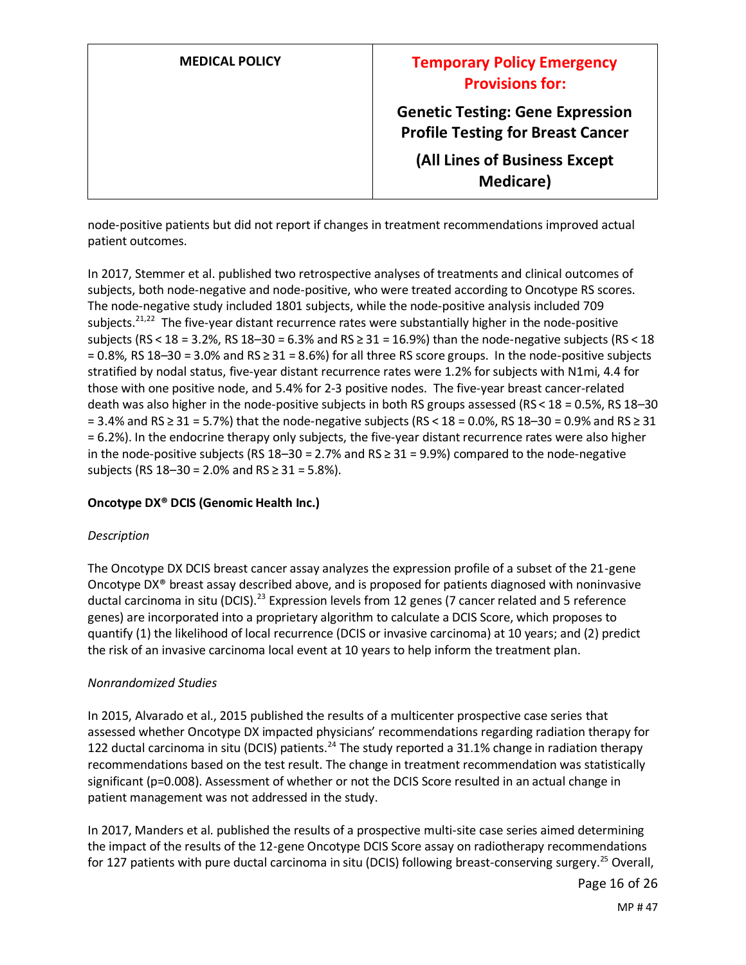| <b>MEDICAL POLICY</b> | <b>Temporary Policy Emergency</b><br><b>Provisions for:</b>                         |
|-----------------------|-------------------------------------------------------------------------------------|
|                       | <b>Genetic Testing: Gene Expression</b><br><b>Profile Testing for Breast Cancer</b> |
|                       | (All Lines of Business Except<br><b>Medicare</b> )                                  |

node-positive patients but did not report if changes in treatment recommendations improved actual patient outcomes.

In 2017, Stemmer et al. published two retrospective analyses of treatments and clinical outcomes of subjects, both node-negative and node-positive, who were treated according to Oncotype RS scores. The node-negative study included 1801 subjects, while the node-positive analysis included 709 subjects.<sup>21,22</sup> The five-year distant recurrence rates were substantially higher in the node-positive subjects (RS < 18 = 3.2%, RS 18–30 = 6.3% and RS ≥ 31 = 16.9%) than the node-negative subjects (RS < 18 = 0.8%, RS 18–30 = 3.0% and RS ≥ 31 = 8.6%) for all three RS score groups. In the node-positive subjects stratified by nodal status, five-year distant recurrence rates were 1.2% for subjects with N1mi, 4.4 for those with one positive node, and 5.4% for 2-3 positive nodes. The five-year breast cancer-related death was also higher in the node-positive subjects in both RS groups assessed (RS < 18 = 0.5%, RS 18–30 = 3.4% and RS ≥ 31 = 5.7%) that the node-negative subjects (RS < 18 = 0.0%, RS 18–30 = 0.9% and RS ≥ 31 = 6.2%). In the endocrine therapy only subjects, the five-year distant recurrence rates were also higher in the node-positive subjects (RS 18–30 = 2.7% and  $RS \ge 31 = 9.9%$ ) compared to the node-negative subjects (RS 18–30 = 2.0% and RS ≥ 31 = 5.8%).

### **Oncotype DX® DCIS (Genomic Health Inc.)**

### *Description*

The Oncotype DX DCIS breast cancer assay analyzes the expression profile of a subset of the 21-gene Oncotype DX® breast assay described above, and is proposed for patients diagnosed with noninvasive ductal carcinoma in situ (DCIS).<sup>23</sup> Expression levels from 12 genes (7 cancer related and 5 reference genes) are incorporated into a proprietary algorithm to calculate a DCIS Score, which proposes to quantify (1) the likelihood of local recurrence (DCIS or invasive carcinoma) at 10 years; and (2) predict the risk of an invasive carcinoma local event at 10 years to help inform the treatment plan.

### *Nonrandomized Studies*

In 2015, Alvarado et al., 2015 published the results of a multicenter prospective case series that assessed whether Oncotype DX impacted physicians' recommendations regarding radiation therapy for 122 ductal carcinoma in situ (DCIS) patients.<sup>24</sup> The study reported a 31.1% change in radiation therapy recommendations based on the test result. The change in treatment recommendation was statistically significant (p=0.008). Assessment of whether or not the DCIS Score resulted in an actual change in patient management was not addressed in the study.

In 2017, Manders et al. published the results of a prospective multi-site case series aimed determining the impact of the results of the 12-gene Oncotype DCIS Score assay on radiotherapy recommendations for 127 patients with pure ductal carcinoma in situ (DCIS) following breast-conserving surgery.<sup>25</sup> Overall,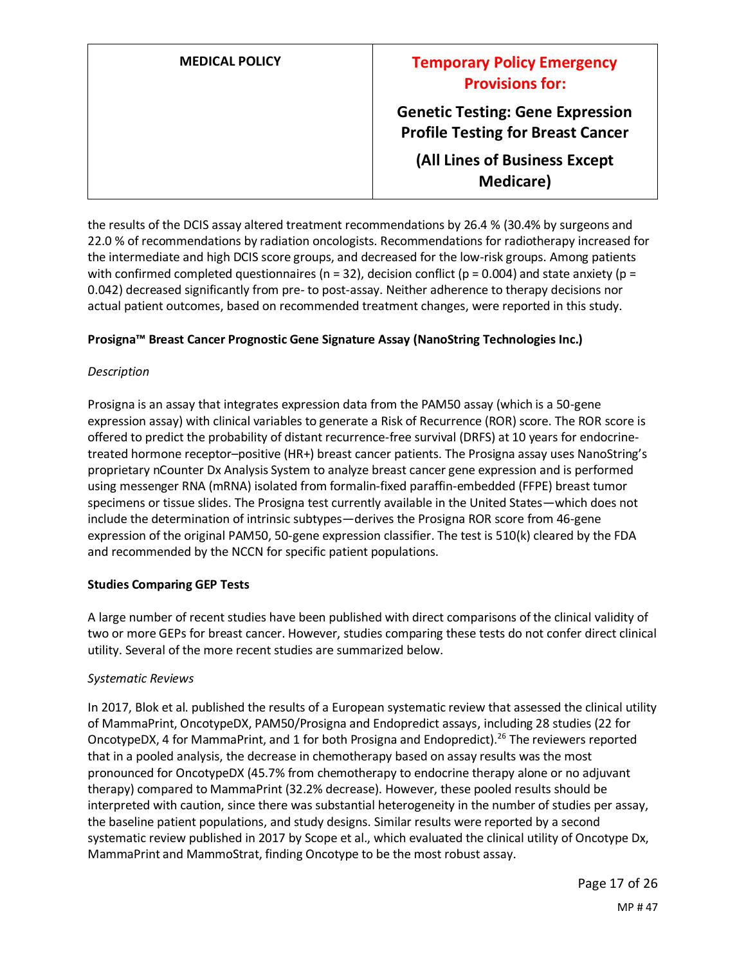| <b>MEDICAL POLICY</b> | <b>Temporary Policy Emergency</b><br><b>Provisions for:</b>                         |
|-----------------------|-------------------------------------------------------------------------------------|
|                       | <b>Genetic Testing: Gene Expression</b><br><b>Profile Testing for Breast Cancer</b> |
|                       | (All Lines of Business Except<br><b>Medicare</b> )                                  |

the results of the DCIS assay altered treatment recommendations by 26.4 % (30.4% by surgeons and 22.0 % of recommendations by radiation oncologists. Recommendations for radiotherapy increased for the intermediate and high DCIS score groups, and decreased for the low-risk groups. Among patients with confirmed completed questionnaires ( $n = 32$ ), decision conflict ( $p = 0.004$ ) and state anxiety ( $p =$ 0.042) decreased significantly from pre- to post-assay. Neither adherence to therapy decisions nor actual patient outcomes, based on recommended treatment changes, were reported in this study.

### **Prosigna™ Breast Cancer Prognostic Gene Signature Assay (NanoString Technologies Inc.)**

### *Description*

Prosigna is an assay that integrates expression data from the PAM50 assay (which is a 50-gene expression assay) with clinical variables to generate a Risk of Recurrence (ROR) score. The ROR score is offered to predict the probability of distant recurrence-free survival (DRFS) at 10 years for endocrinetreated hormone receptor–positive (HR+) breast cancer patients. The Prosigna assay uses NanoString's proprietary nCounter Dx Analysis System to analyze breast cancer gene expression and is performed using messenger RNA (mRNA) isolated from formalin-fixed paraffin-embedded (FFPE) breast tumor specimens or tissue slides. The Prosigna test currently available in the United States—which does not include the determination of intrinsic subtypes—derives the Prosigna ROR score from 46-gene expression of the original PAM50, 50-gene expression classifier. The test is 510(k) cleared by the FDA and recommended by the NCCN for specific patient populations.

### **Studies Comparing GEP Tests**

A large number of recent studies have been published with direct comparisons of the clinical validity of two or more GEPs for breast cancer. However, studies comparing these tests do not confer direct clinical utility. Several of the more recent studies are summarized below.

#### *Systematic Reviews*

In 2017, Blok et al. published the results of a European systematic review that assessed the clinical utility of MammaPrint, OncotypeDX, PAM50/Prosigna and Endopredict assays, including 28 studies (22 for OncotypeDX, 4 for MammaPrint, and 1 for both Prosigna and Endopredict).<sup>26</sup> The reviewers reported that in a pooled analysis, the decrease in chemotherapy based on assay results was the most pronounced for OncotypeDX (45.7% from chemotherapy to endocrine therapy alone or no adjuvant therapy) compared to MammaPrint (32.2% decrease). However, these pooled results should be interpreted with caution, since there was substantial heterogeneity in the number of studies per assay, the baseline patient populations, and study designs. Similar results were reported by a second systematic review published in 2017 by Scope et al., which evaluated the clinical utility of Oncotype Dx, MammaPrint and MammoStrat, finding Oncotype to be the most robust assay.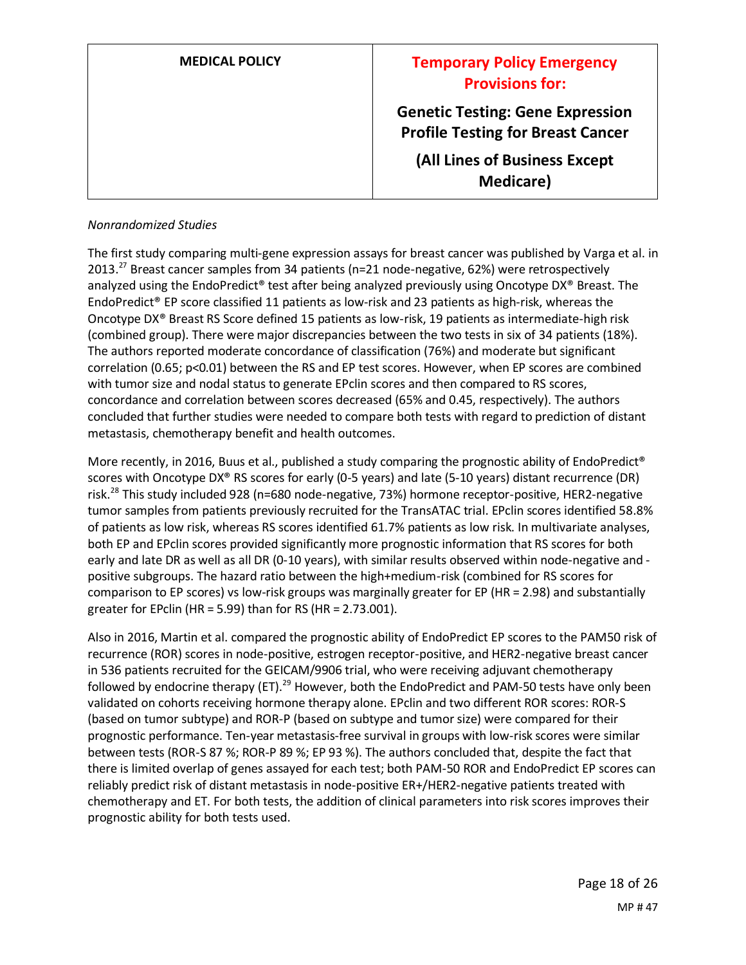| <b>MEDICAL POLICY</b> | <b>Temporary Policy Emergency</b><br><b>Provisions for:</b>                         |
|-----------------------|-------------------------------------------------------------------------------------|
|                       | <b>Genetic Testing: Gene Expression</b><br><b>Profile Testing for Breast Cancer</b> |
|                       | (All Lines of Business Except<br><b>Medicare</b> )                                  |

#### *Nonrandomized Studies*

The first study comparing multi-gene expression assays for breast cancer was published by Varga et al. in 2013.<sup>27</sup> Breast cancer samples from 34 patients (n=21 node-negative, 62%) were retrospectively analyzed using the EndoPredict® test after being analyzed previously using Oncotype DX® Breast. The EndoPredict® EP score classified 11 patients as low-risk and 23 patients as high-risk, whereas the Oncotype DX® Breast RS Score defined 15 patients as low-risk, 19 patients as intermediate-high risk (combined group). There were major discrepancies between the two tests in six of 34 patients (18%). The authors reported moderate concordance of classification (76%) and moderate but significant correlation (0.65; p<0.01) between the RS and EP test scores. However, when EP scores are combined with tumor size and nodal status to generate EPclin scores and then compared to RS scores, concordance and correlation between scores decreased (65% and 0.45, respectively). The authors concluded that further studies were needed to compare both tests with regard to prediction of distant metastasis, chemotherapy benefit and health outcomes.

More recently, in 2016, Buus et al., published a study comparing the prognostic ability of EndoPredict® scores with Oncotype DX® RS scores for early (0-5 years) and late (5-10 years) distant recurrence (DR) risk.<sup>28</sup> This study included 928 (n=680 node-negative, 73%) hormone receptor-positive, HER2-negative tumor samples from patients previously recruited for the TransATAC trial. EPclin scores identified 58.8% of patients as low risk, whereas RS scores identified 61.7% patients as low risk. In multivariate analyses, both EP and EPclin scores provided significantly more prognostic information that RS scores for both early and late DR as well as all DR (0-10 years), with similar results observed within node-negative and positive subgroups. The hazard ratio between the high+medium-risk (combined for RS scores for comparison to EP scores) vs low-risk groups was marginally greater for EP (HR = 2.98) and substantially greater for EPclin (HR = 5.99) than for RS (HR = 2.73.001).

Also in 2016, Martin et al. compared the prognostic ability of EndoPredict EP scores to the PAM50 risk of recurrence (ROR) scores in node-positive, estrogen receptor-positive, and HER2-negative breast cancer in 536 patients recruited for the GEICAM/9906 trial, who were receiving adjuvant chemotherapy followed by endocrine therapy (ET).<sup>29</sup> However, both the EndoPredict and PAM-50 tests have only been validated on cohorts receiving hormone therapy alone. EPclin and two different ROR scores: ROR-S (based on tumor subtype) and ROR-P (based on subtype and tumor size) were compared for their prognostic performance. Ten-year metastasis-free survival in groups with low-risk scores were similar between tests (ROR-S 87 %; ROR-P 89 %; EP 93 %). The authors concluded that, despite the fact that there is limited overlap of genes assayed for each test; both PAM-50 ROR and EndoPredict EP scores can reliably predict risk of distant metastasis in node-positive ER+/HER2-negative patients treated with chemotherapy and ET. For both tests, the addition of clinical parameters into risk scores improves their prognostic ability for both tests used.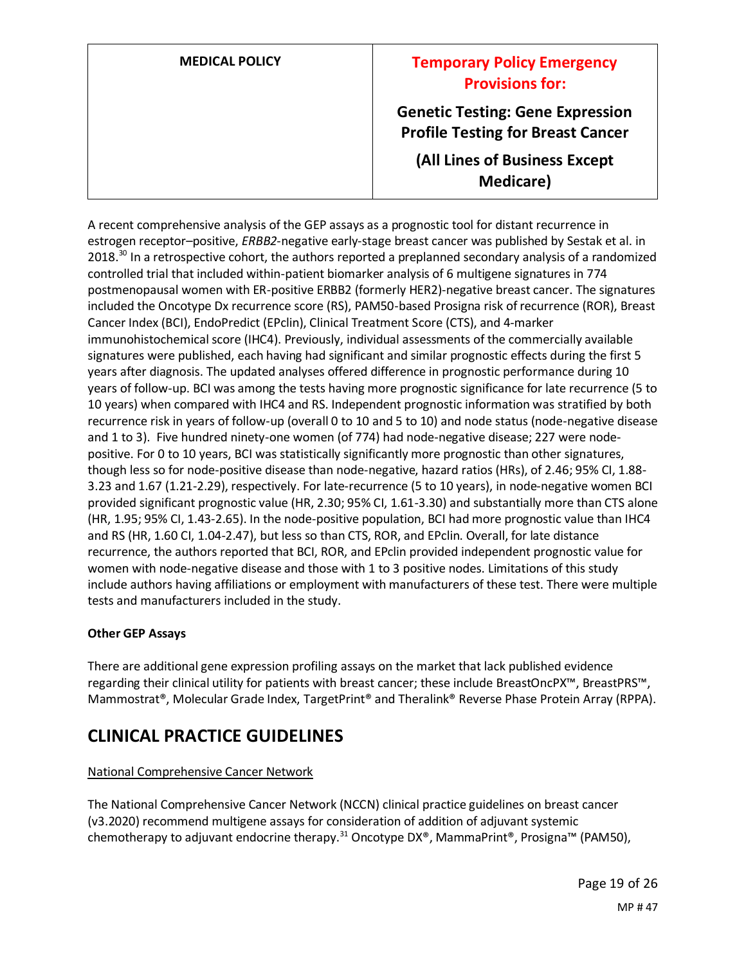| <b>MEDICAL POLICY</b> |  |
|-----------------------|--|
|-----------------------|--|

## **Temporary Policy Emergency Provisions for:**

**Genetic Testing: Gene Expression Profile Testing for Breast Cancer**

**(All Lines of Business Except Medicare)**

A recent comprehensive analysis of the GEP assays as a prognostic tool for distant recurrence in estrogen receptor–positive, *ERBB2*-negative early-stage breast cancer was published by Sestak et al. in 2018.<sup>30</sup> In a retrospective cohort, the authors reported a preplanned secondary analysis of a randomized controlled trial that included within-patient biomarker analysis of 6 multigene signatures in 774 postmenopausal women with ER-positive ERBB2 (formerly HER2)-negative breast cancer. The signatures included the Oncotype Dx recurrence score (RS), PAM50-based Prosigna risk of recurrence (ROR), Breast Cancer Index (BCI), EndoPredict (EPclin), Clinical Treatment Score (CTS), and 4-marker immunohistochemical score (IHC4). Previously, individual assessments of the commercially available signatures were published, each having had significant and similar prognostic effects during the first 5 years after diagnosis. The updated analyses offered difference in prognostic performance during 10 years of follow-up. BCI was among the tests having more prognostic significance for late recurrence (5 to 10 years) when compared with IHC4 and RS. Independent prognostic information was stratified by both recurrence risk in years of follow-up (overall 0 to 10 and 5 to 10) and node status (node-negative disease and 1 to 3). Five hundred ninety-one women (of 774) had node-negative disease; 227 were nodepositive. For 0 to 10 years, BCI was statistically significantly more prognostic than other signatures, though less so for node-positive disease than node-negative, hazard ratios (HRs), of 2.46; 95% CI, 1.88- 3.23 and 1.67 (1.21-2.29), respectively. For late-recurrence (5 to 10 years), in node-negative women BCI provided significant prognostic value (HR, 2.30; 95% CI, 1.61-3.30) and substantially more than CTS alone (HR, 1.95; 95% CI, 1.43-2.65). In the node-positive population, BCI had more prognostic value than IHC4 and RS (HR, 1.60 CI, 1.04-2.47), but less so than CTS, ROR, and EPclin. Overall, for late distance recurrence, the authors reported that BCI, ROR, and EPclin provided independent prognostic value for women with node-negative disease and those with 1 to 3 positive nodes. Limitations of this study include authors having affiliations or employment with manufacturers of these test. There were multiple tests and manufacturers included in the study.

### **Other GEP Assays**

There are additional gene expression profiling assays on the market that lack published evidence regarding their clinical utility for patients with breast cancer; these include BreastOncPX™, BreastPRS™, Mammostrat®, Molecular Grade Index, TargetPrint® and Theralink® Reverse Phase Protein Array (RPPA).

## **CLINICAL PRACTICE GUIDELINES**

### National Comprehensive Cancer Network

The National Comprehensive Cancer Network (NCCN) clinical practice guidelines on breast cancer (v3.2020) recommend multigene assays for consideration of addition of adjuvant systemic chemotherapy to adjuvant endocrine therapy.<sup>31</sup> Oncotype DX®, MammaPrint®, Prosigna™ (PAM50),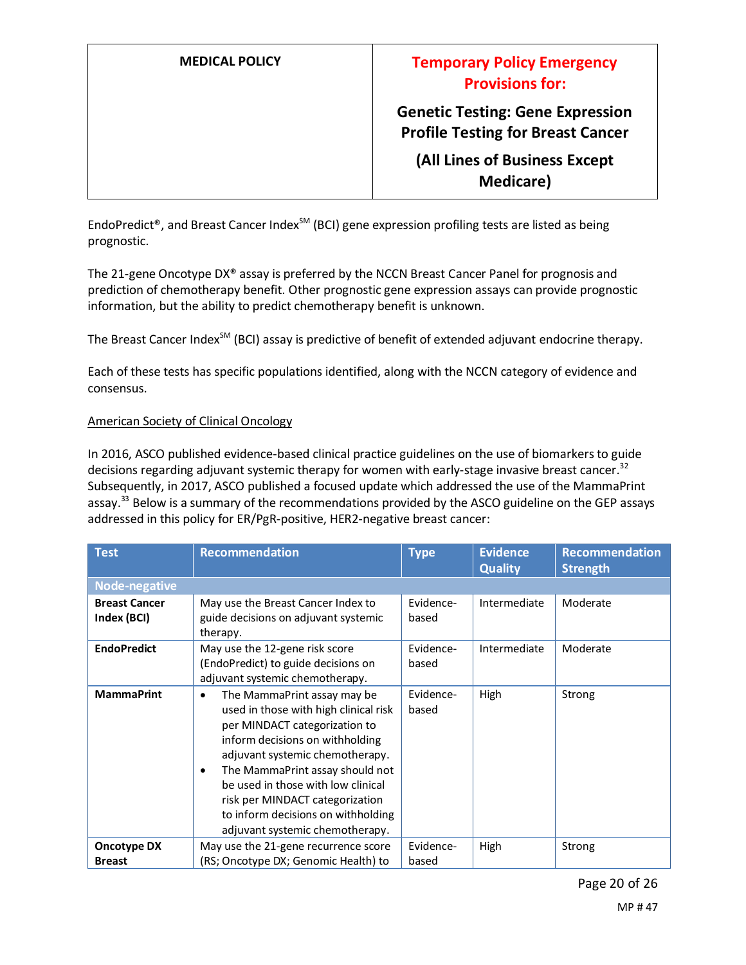**Genetic Testing: Gene Expression Profile Testing for Breast Cancer**

**(All Lines of Business Except Medicare)**

EndoPredict®, and Breast Cancer Index<sup>SM</sup> (BCI) gene expression profiling tests are listed as being prognostic.

The 21-gene Oncotype DX® assay is preferred by the NCCN Breast Cancer Panel for prognosis and prediction of chemotherapy benefit. Other prognostic gene expression assays can provide prognostic information, but the ability to predict chemotherapy benefit is unknown.

The Breast Cancer Index<sup>SM</sup> (BCI) assay is predictive of benefit of extended adjuvant endocrine therapy.

Each of these tests has specific populations identified, along with the NCCN category of evidence and consensus.

#### American Society of Clinical Oncology

In 2016, ASCO published evidence-based clinical practice guidelines on the use of biomarkers to guide decisions regarding adjuvant systemic therapy for women with early-stage invasive breast cancer.<sup>32</sup> Subsequently, in 2017, ASCO published a focused update which addressed the use of the MammaPrint assay.<sup>33</sup> Below is a summary of the recommendations provided by the ASCO guideline on the GEP assays addressed in this policy for ER/PgR-positive, HER2-negative breast cancer:

| <b>Test</b>                         | Recommendation                                                                                                                                                                                                                                                                                                                                                                | <b>Type</b>        | <b>Evidence</b><br><b>Quality</b> | <b>Recommendation</b><br><b>Strength</b> |
|-------------------------------------|-------------------------------------------------------------------------------------------------------------------------------------------------------------------------------------------------------------------------------------------------------------------------------------------------------------------------------------------------------------------------------|--------------------|-----------------------------------|------------------------------------------|
| Node-negative                       |                                                                                                                                                                                                                                                                                                                                                                               |                    |                                   |                                          |
| <b>Breast Cancer</b><br>Index (BCI) | May use the Breast Cancer Index to<br>guide decisions on adjuvant systemic<br>therapy.                                                                                                                                                                                                                                                                                        | Evidence-<br>based | Intermediate                      | Moderate                                 |
| <b>EndoPredict</b>                  | May use the 12-gene risk score<br>(EndoPredict) to guide decisions on<br>adjuvant systemic chemotherapy.                                                                                                                                                                                                                                                                      | Evidence-<br>based | Intermediate                      | Moderate                                 |
| <b>MammaPrint</b>                   | The MammaPrint assay may be<br>$\bullet$<br>used in those with high clinical risk<br>per MINDACT categorization to<br>inform decisions on withholding<br>adjuvant systemic chemotherapy.<br>The MammaPrint assay should not<br>be used in those with low clinical<br>risk per MINDACT categorization<br>to inform decisions on withholding<br>adjuvant systemic chemotherapy. | Evidence-<br>based | <b>High</b>                       | Strong                                   |
| <b>Oncotype DX</b>                  | May use the 21-gene recurrence score                                                                                                                                                                                                                                                                                                                                          | Evidence-          | High                              | Strong                                   |
| <b>Breast</b>                       | (RS; Oncotype DX; Genomic Health) to                                                                                                                                                                                                                                                                                                                                          | based              |                                   |                                          |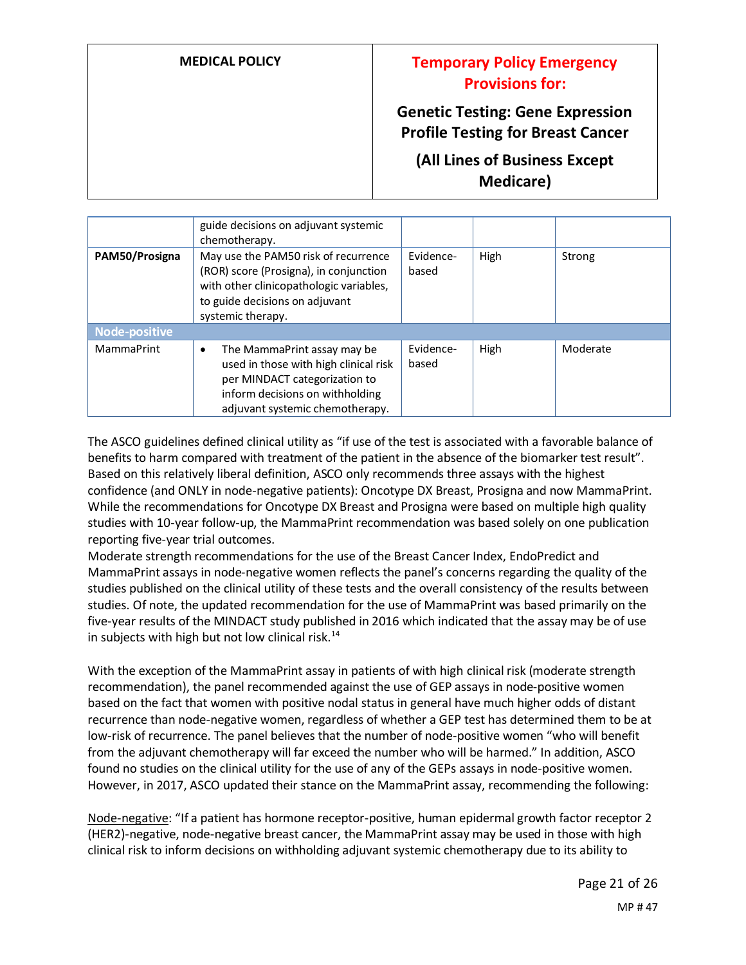**Genetic Testing: Gene Expression Profile Testing for Breast Cancer**

**(All Lines of Business Except Medicare)**

|                      | guide decisions on adjuvant systemic<br>chemotherapy.                                                                                                                            |                    |      |          |
|----------------------|----------------------------------------------------------------------------------------------------------------------------------------------------------------------------------|--------------------|------|----------|
| PAM50/Prosigna       | May use the PAM50 risk of recurrence<br>(ROR) score (Prosigna), in conjunction<br>with other clinicopathologic variables,<br>to guide decisions on adjuvant<br>systemic therapy. | Evidence-<br>based | High | Strong   |
| <b>Node-positive</b> |                                                                                                                                                                                  |                    |      |          |
| <b>MammaPrint</b>    | The MammaPrint assay may be<br>used in those with high clinical risk<br>per MINDACT categorization to<br>inform decisions on withholding<br>adjuvant systemic chemotherapy.      | Evidence-<br>based | High | Moderate |

The ASCO guidelines defined clinical utility as "if use of the test is associated with a favorable balance of benefits to harm compared with treatment of the patient in the absence of the biomarker test result". Based on this relatively liberal definition, ASCO only recommends three assays with the highest confidence (and ONLY in node-negative patients): Oncotype DX Breast, Prosigna and now MammaPrint. While the recommendations for Oncotype DX Breast and Prosigna were based on multiple high quality studies with 10-year follow-up, the MammaPrint recommendation was based solely on one publication reporting five-year trial outcomes.

Moderate strength recommendations for the use of the Breast Cancer Index, EndoPredict and MammaPrint assays in node-negative women reflects the panel's concerns regarding the quality of the studies published on the clinical utility of these tests and the overall consistency of the results between studies. Of note, the updated recommendation for the use of MammaPrint was based primarily on the five-year results of the MINDACT study published in 2016 which indicated that the assay may be of use in subjects with high but not low clinical risk.<sup>14</sup>

With the exception of the MammaPrint assay in patients of with high clinical risk (moderate strength recommendation), the panel recommended against the use of GEP assays in node-positive women based on the fact that women with positive nodal status in general have much higher odds of distant recurrence than node-negative women, regardless of whether a GEP test has determined them to be at low-risk of recurrence. The panel believes that the number of node-positive women "who will benefit from the adjuvant chemotherapy will far exceed the number who will be harmed." In addition, ASCO found no studies on the clinical utility for the use of any of the GEPs assays in node-positive women. However, in 2017, ASCO updated their stance on the MammaPrint assay, recommending the following:

Node-negative: "If a patient has hormone receptor-positive, human epidermal growth factor receptor 2 (HER2)-negative, node-negative breast cancer, the MammaPrint assay may be used in those with high clinical risk to inform decisions on withholding adjuvant systemic chemotherapy due to its ability to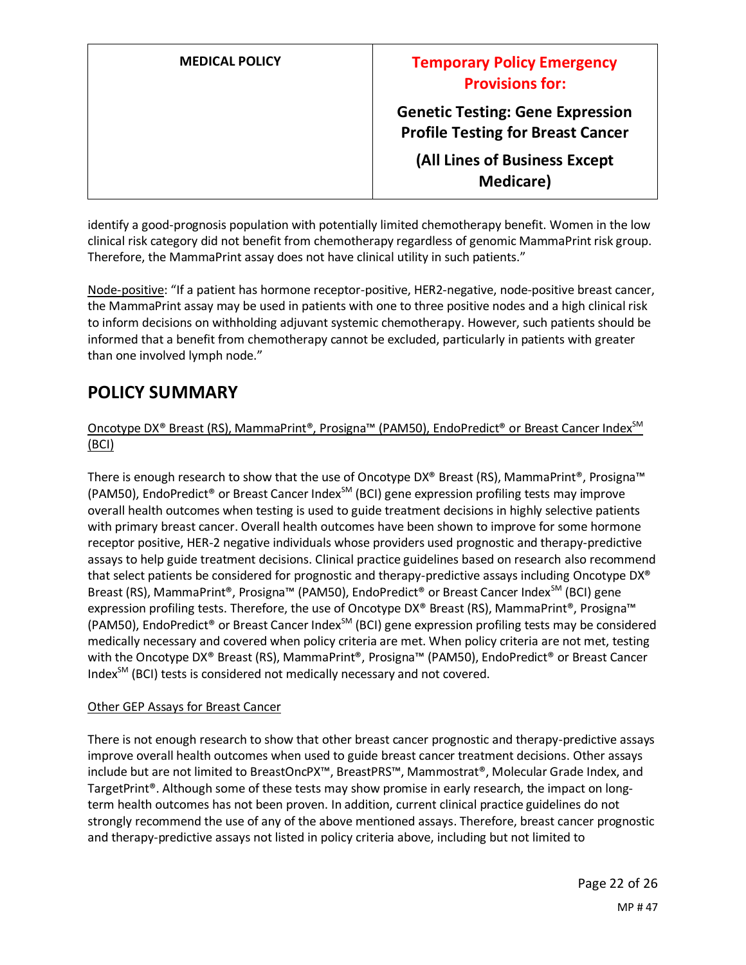| <b>MEDICAL POLICY</b> | <b>Temporary Policy Emergency</b><br><b>Provisions for:</b>                         |
|-----------------------|-------------------------------------------------------------------------------------|
|                       | <b>Genetic Testing: Gene Expression</b><br><b>Profile Testing for Breast Cancer</b> |
|                       | (All Lines of Business Except<br><b>Medicare</b> )                                  |

identify a good-prognosis population with potentially limited chemotherapy benefit. Women in the low clinical risk category did not benefit from chemotherapy regardless of genomic MammaPrint risk group. Therefore, the MammaPrint assay does not have clinical utility in such patients."

Node-positive: "If a patient has hormone receptor-positive, HER2-negative, node-positive breast cancer, the MammaPrint assay may be used in patients with one to three positive nodes and a high clinical risk to inform decisions on withholding adjuvant systemic chemotherapy. However, such patients should be informed that a benefit from chemotherapy cannot be excluded, particularly in patients with greater than one involved lymph node."

## **POLICY SUMMARY**

### Oncotype DX<sup>®</sup> Breast (RS), MammaPrint®, Prosigna™ (PAM50), EndoPredict® or Breast Cancer Index<sup>SM</sup> (BCI)

There is enough research to show that the use of Oncotype DX® Breast (RS), MammaPrint®, Prosigna™ (PAM50), EndoPredict<sup>®</sup> or Breast Cancer Index<sup>SM</sup> (BCI) gene expression profiling tests may improve overall health outcomes when testing is used to guide treatment decisions in highly selective patients with primary breast cancer. Overall health outcomes have been shown to improve for some hormone receptor positive, HER-2 negative individuals whose providers used prognostic and therapy-predictive assays to help guide treatment decisions. Clinical practice guidelines based on research also recommend that select patients be considered for prognostic and therapy-predictive assays including Oncotype DX® Breast (RS), MammaPrint®, Prosigna™ (PAM50), EndoPredict® or Breast Cancer Index<sup>SM</sup> (BCI) gene expression profiling tests. Therefore, the use of Oncotype DX® Breast (RS), MammaPrint®, Prosigna™ (PAM50), EndoPredict<sup>®</sup> or Breast Cancer Index<sup>SM</sup> (BCI) gene expression profiling tests may be considered medically necessary and covered when policy criteria are met. When policy criteria are not met, testing with the Oncotype DX<sup>®</sup> Breast (RS), MammaPrint®, Prosigna™ (PAM50), EndoPredict® or Breast Cancer Index<sup>SM</sup> (BCI) tests is considered not medically necessary and not covered.

### Other GEP Assays for Breast Cancer

There is not enough research to show that other breast cancer prognostic and therapy-predictive assays improve overall health outcomes when used to guide breast cancer treatment decisions. Other assays include but are not limited to BreastOncPX™, BreastPRS™, Mammostrat®, Molecular Grade Index, and TargetPrint®. Although some of these tests may show promise in early research, the impact on longterm health outcomes has not been proven. In addition, current clinical practice guidelines do not strongly recommend the use of any of the above mentioned assays. Therefore, breast cancer prognostic and therapy-predictive assays not listed in policy criteria above, including but not limited to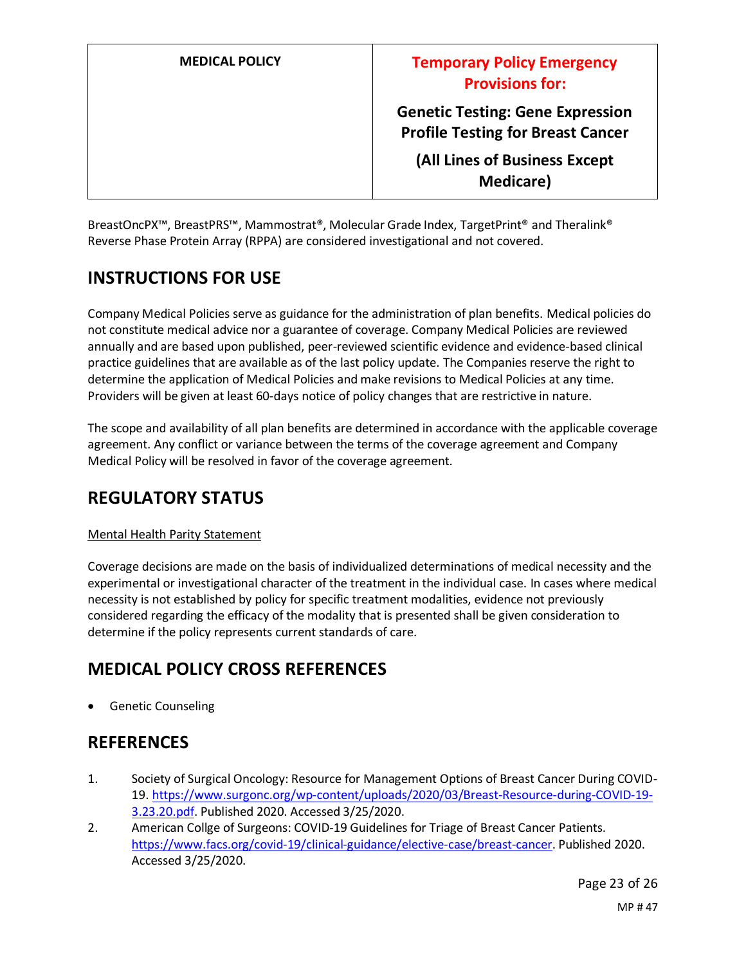| <b>MEDICAL POLICY</b> | <b>Temporary Policy Emergency</b><br><b>Provisions for:</b>                         |
|-----------------------|-------------------------------------------------------------------------------------|
|                       | <b>Genetic Testing: Gene Expression</b><br><b>Profile Testing for Breast Cancer</b> |
|                       | (All Lines of Business Except<br><b>Medicare</b> )                                  |

BreastOncPX™, BreastPRS™, Mammostrat®, Molecular Grade Index, TargetPrint® and Theralink® Reverse Phase Protein Array (RPPA) are considered investigational and not covered.

## **INSTRUCTIONS FOR USE**

Company Medical Policies serve as guidance for the administration of plan benefits. Medical policies do not constitute medical advice nor a guarantee of coverage. Company Medical Policies are reviewed annually and are based upon published, peer-reviewed scientific evidence and evidence-based clinical practice guidelines that are available as of the last policy update. The Companies reserve the right to determine the application of Medical Policies and make revisions to Medical Policies at any time. Providers will be given at least 60-days notice of policy changes that are restrictive in nature.

The scope and availability of all plan benefits are determined in accordance with the applicable coverage agreement. Any conflict or variance between the terms of the coverage agreement and Company Medical Policy will be resolved in favor of the coverage agreement.

## **REGULATORY STATUS**

### Mental Health Parity Statement

Coverage decisions are made on the basis of individualized determinations of medical necessity and the experimental or investigational character of the treatment in the individual case. In cases where medical necessity is not established by policy for specific treatment modalities, evidence not previously considered regarding the efficacy of the modality that is presented shall be given consideration to determine if the policy represents current standards of care.

## **MEDICAL POLICY CROSS REFERENCES**

• Genetic Counseling

## **REFERENCES**

- 1. Society of Surgical Oncology: Resource for Management Options of Breast Cancer During COVID-19. https://www.surgonc.org/wp-content/uploads/2020/03/Breast-Resource-during-COVID-19- 3.23.20.pdf. Published 2020. Accessed 3/25/2020.
- 2. American Collge of Surgeons: COVID-19 Guidelines for Triage of Breast Cancer Patients. https://www.facs.org/covid-19/clinical-guidance/elective-case/breast-cancer. Published 2020. Accessed 3/25/2020.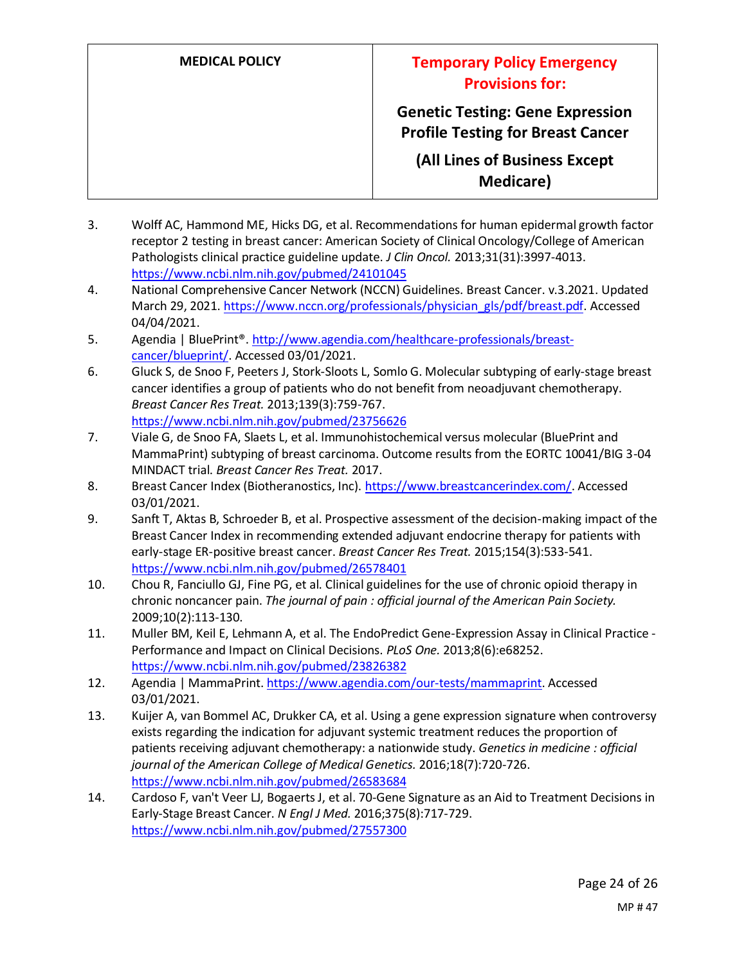# **MEDICAL POLICY Temporary Policy Emergency Provisions for: Genetic Testing: Gene Expression Profile Testing for Breast Cancer (All Lines of Business Except Medicare)**

- 3. Wolff AC, Hammond ME, Hicks DG, et al. Recommendations for human epidermal growth factor receptor 2 testing in breast cancer: American Society of Clinical Oncology/College of American Pathologists clinical practice guideline update. *J Clin Oncol.* 2013;31(31):3997-4013. https://www.ncbi.nlm.nih.gov/pubmed/24101045
- 4. National Comprehensive Cancer Network (NCCN) Guidelines. Breast Cancer. v.3.2021. Updated March 29, 2021. https://www.nccn.org/professionals/physician\_gls/pdf/breast.pdf. Accessed 04/04/2021.
- 5. Agendia | BluePrint®. http://www.agendia.com/healthcare-professionals/breastcancer/blueprint/. Accessed 03/01/2021.
- 6. Gluck S, de Snoo F, Peeters J, Stork-Sloots L, Somlo G. Molecular subtyping of early-stage breast cancer identifies a group of patients who do not benefit from neoadjuvant chemotherapy. *Breast Cancer Res Treat.* 2013;139(3):759-767. https://www.ncbi.nlm.nih.gov/pubmed/23756626
- 7. Viale G, de Snoo FA, Slaets L, et al. Immunohistochemical versus molecular (BluePrint and MammaPrint) subtyping of breast carcinoma. Outcome results from the EORTC 10041/BIG 3-04 MINDACT trial. *Breast Cancer Res Treat.* 2017.
- 8. Breast Cancer Index (Biotheranostics, Inc). https://www.breastcancerindex.com/. Accessed 03/01/2021.
- 9. Sanft T, Aktas B, Schroeder B, et al. Prospective assessment of the decision-making impact of the Breast Cancer Index in recommending extended adjuvant endocrine therapy for patients with early-stage ER-positive breast cancer. *Breast Cancer Res Treat.* 2015;154(3):533-541. https://www.ncbi.nlm.nih.gov/pubmed/26578401
- 10. Chou R, Fanciullo GJ, Fine PG, et al. Clinical guidelines for the use of chronic opioid therapy in chronic noncancer pain. *The journal of pain : official journal of the American Pain Society.*  2009;10(2):113-130.
- 11. Muller BM, Keil E, Lehmann A, et al. The EndoPredict Gene-Expression Assay in Clinical Practice Performance and Impact on Clinical Decisions. *PLoS One.* 2013;8(6):e68252. https://www.ncbi.nlm.nih.gov/pubmed/23826382
- 12. Agendia | MammaPrint. https://www.agendia.com/our-tests/mammaprint. Accessed 03/01/2021.
- 13. Kuijer A, van Bommel AC, Drukker CA, et al. Using a gene expression signature when controversy exists regarding the indication for adjuvant systemic treatment reduces the proportion of patients receiving adjuvant chemotherapy: a nationwide study. *Genetics in medicine : official journal of the American College of Medical Genetics.* 2016;18(7):720-726. https://www.ncbi.nlm.nih.gov/pubmed/26583684
- 14. Cardoso F, van't Veer LJ, Bogaerts J, et al. 70-Gene Signature as an Aid to Treatment Decisions in Early-Stage Breast Cancer. *N Engl J Med.* 2016;375(8):717-729. https://www.ncbi.nlm.nih.gov/pubmed/27557300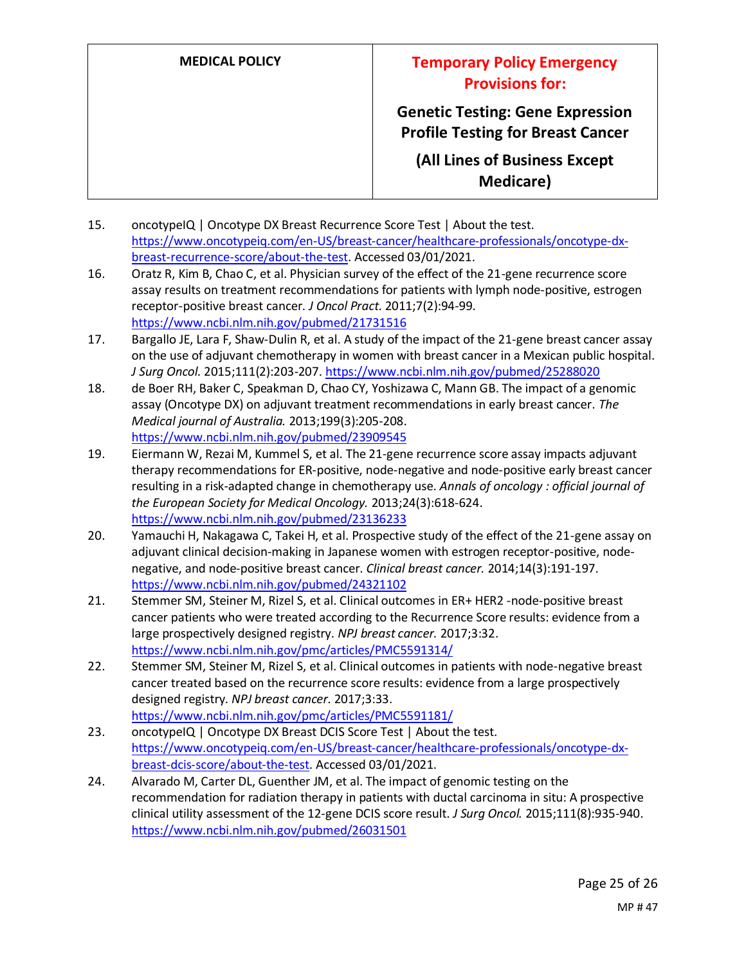**Genetic Testing: Gene Expression Profile Testing for Breast Cancer**

**(All Lines of Business Except Medicare)**

- 15. oncotypeIQ | Oncotype DX Breast Recurrence Score Test | About the test. https://www.oncotypeiq.com/en-US/breast-cancer/healthcare-professionals/oncotype-dxbreast-recurrence-score/about-the-test. Accessed 03/01/2021.
- 16. Oratz R, Kim B, Chao C, et al. Physician survey of the effect of the 21-gene recurrence score assay results on treatment recommendations for patients with lymph node-positive, estrogen receptor-positive breast cancer. *J Oncol Pract.* 2011;7(2):94-99. https://www.ncbi.nlm.nih.gov/pubmed/21731516
- 17. Bargallo JE, Lara F, Shaw-Dulin R, et al. A study of the impact of the 21-gene breast cancer assay on the use of adjuvant chemotherapy in women with breast cancer in a Mexican public hospital. *J Surg Oncol.* 2015;111(2):203-207. https://www.ncbi.nlm.nih.gov/pubmed/25288020
- 18. de Boer RH, Baker C, Speakman D, Chao CY, Yoshizawa C, Mann GB. The impact of a genomic assay (Oncotype DX) on adjuvant treatment recommendations in early breast cancer. *The Medical journal of Australia.* 2013;199(3):205-208. https://www.ncbi.nlm.nih.gov/pubmed/23909545
- 19. Eiermann W, Rezai M, Kummel S, et al. The 21-gene recurrence score assay impacts adjuvant therapy recommendations for ER-positive, node-negative and node-positive early breast cancer resulting in a risk-adapted change in chemotherapy use. *Annals of oncology : official journal of the European Society for Medical Oncology.* 2013;24(3):618-624. https://www.ncbi.nlm.nih.gov/pubmed/23136233
- 20. Yamauchi H, Nakagawa C, Takei H, et al. Prospective study of the effect of the 21-gene assay on adjuvant clinical decision-making in Japanese women with estrogen receptor-positive, nodenegative, and node-positive breast cancer. *Clinical breast cancer.* 2014;14(3):191-197. https://www.ncbi.nlm.nih.gov/pubmed/24321102
- 21. Stemmer SM, Steiner M, Rizel S, et al. Clinical outcomes in ER+ HER2 -node-positive breast cancer patients who were treated according to the Recurrence Score results: evidence from a large prospectively designed registry. *NPJ breast cancer.* 2017;3:32. https://www.ncbi.nlm.nih.gov/pmc/articles/PMC5591314/
- 22. Stemmer SM, Steiner M, Rizel S, et al. Clinical outcomes in patients with node-negative breast cancer treated based on the recurrence score results: evidence from a large prospectively designed registry. *NPJ breast cancer.* 2017;3:33. https://www.ncbi.nlm.nih.gov/pmc/articles/PMC5591181/
- 23. oncotypeIQ | Oncotype DX Breast DCIS Score Test | About the test. https://www.oncotypeiq.com/en-US/breast-cancer/healthcare-professionals/oncotype-dxbreast-dcis-score/about-the-test. Accessed 03/01/2021.
- 24. Alvarado M, Carter DL, Guenther JM, et al. The impact of genomic testing on the recommendation for radiation therapy in patients with ductal carcinoma in situ: A prospective clinical utility assessment of the 12-gene DCIS score result. *J Surg Oncol.* 2015;111(8):935-940. https://www.ncbi.nlm.nih.gov/pubmed/26031501